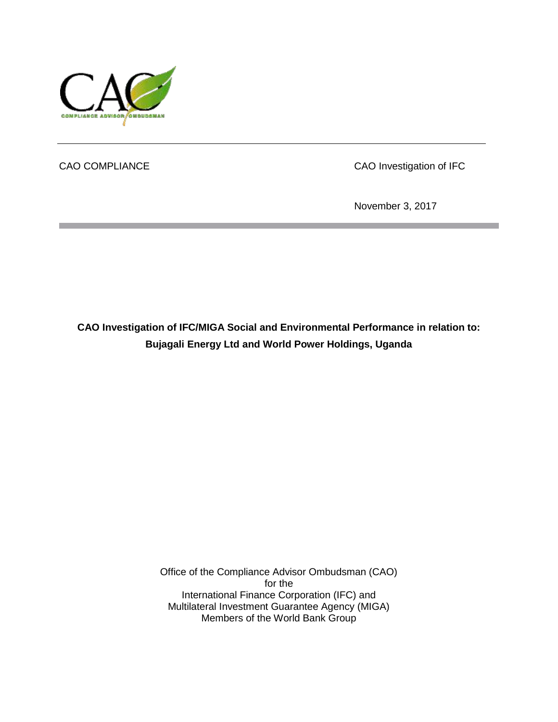

CAO COMPLIANCE CAO Investigation of IFC

November 3, 2017

**CAO Investigation of IFC/MIGA Social and Environmental Performance in relation to: Bujagali Energy Ltd and World Power Holdings, Uganda**

> Office of the Compliance Advisor Ombudsman (CAO) for the International Finance Corporation (IFC) and Multilateral Investment Guarantee Agency (MIGA) Members of the World Bank Group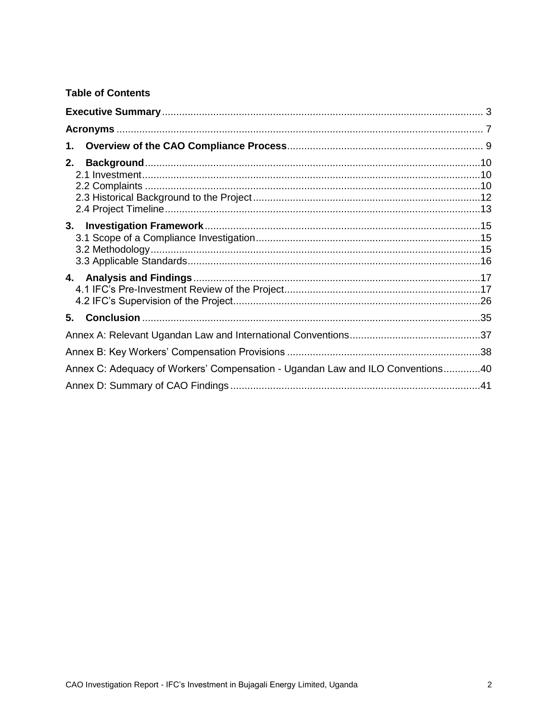### **Table of Contents**

| 1.                                                                             |  |
|--------------------------------------------------------------------------------|--|
| 2.                                                                             |  |
|                                                                                |  |
|                                                                                |  |
| 5.                                                                             |  |
|                                                                                |  |
|                                                                                |  |
| Annex C: Adequacy of Workers' Compensation - Ugandan Law and ILO Conventions40 |  |
|                                                                                |  |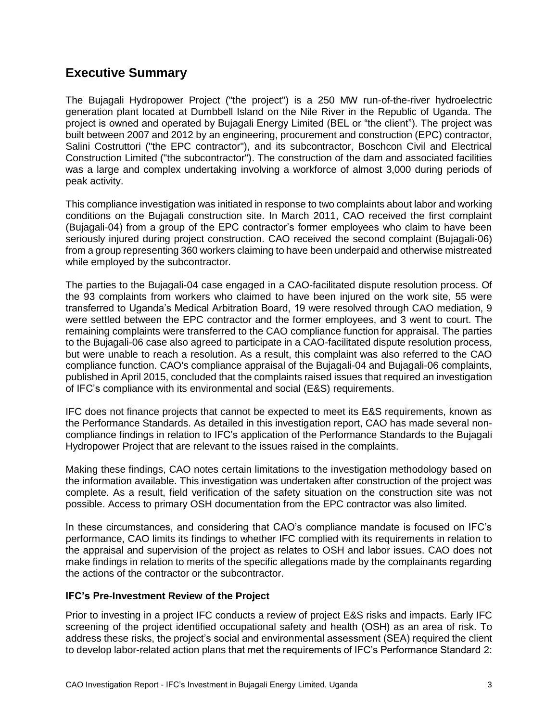### <span id="page-2-0"></span>**Executive Summary**

The Bujagali Hydropower Project ("the project") is a 250 MW run-of-the-river hydroelectric generation plant located at Dumbbell Island on the Nile River in the Republic of Uganda. The project is owned and operated by Bujagali Energy Limited (BEL or "the client"). The project was built between 2007 and 2012 by an engineering, procurement and construction (EPC) contractor, Salini Costruttori ("the EPC contractor"), and its subcontractor, Boschcon Civil and Electrical Construction Limited ("the subcontractor"). The construction of the dam and associated facilities was a large and complex undertaking involving a workforce of almost 3,000 during periods of peak activity.

This compliance investigation was initiated in response to two complaints about labor and working conditions on the Bujagali construction site. In March 2011, CAO received the first complaint (Bujagali-04) from a group of the EPC contractor's former employees who claim to have been seriously injured during project construction. CAO received the second complaint (Bujagali-06) from a group representing 360 workers claiming to have been underpaid and otherwise mistreated while employed by the subcontractor.

The parties to the Bujagali-04 case engaged in a CAO-facilitated dispute resolution process. Of the 93 complaints from workers who claimed to have been injured on the work site, 55 were transferred to Uganda's Medical Arbitration Board, 19 were resolved through CAO mediation, 9 were settled between the EPC contractor and the former employees, and 3 went to court. The remaining complaints were transferred to the CAO compliance function for appraisal. The parties to the Bujagali-06 case also agreed to participate in a CAO-facilitated dispute resolution process, but were unable to reach a resolution. As a result, this complaint was also referred to the CAO compliance function. CAO's compliance appraisal of the Bujagali-04 and Bujagali-06 complaints, published in April 2015, concluded that the complaints raised issues that required an investigation of IFC's compliance with its environmental and social (E&S) requirements.

IFC does not finance projects that cannot be expected to meet its E&S requirements, known as the Performance Standards. As detailed in this investigation report, CAO has made several noncompliance findings in relation to IFC's application of the Performance Standards to the Bujagali Hydropower Project that are relevant to the issues raised in the complaints.

Making these findings, CAO notes certain limitations to the investigation methodology based on the information available. This investigation was undertaken after construction of the project was complete. As a result, field verification of the safety situation on the construction site was not possible. Access to primary OSH documentation from the EPC contractor was also limited.

In these circumstances, and considering that CAO's compliance mandate is focused on IFC's performance, CAO limits its findings to whether IFC complied with its requirements in relation to the appraisal and supervision of the project as relates to OSH and labor issues. CAO does not make findings in relation to merits of the specific allegations made by the complainants regarding the actions of the contractor or the subcontractor.

#### **IFC's Pre-Investment Review of the Project**

Prior to investing in a project IFC conducts a review of project E&S risks and impacts. Early IFC screening of the project identified occupational safety and health (OSH) as an area of risk. To address these risks, the project's social and environmental assessment (SEA) required the client to develop labor-related action plans that met the requirements of IFC's Performance Standard 2: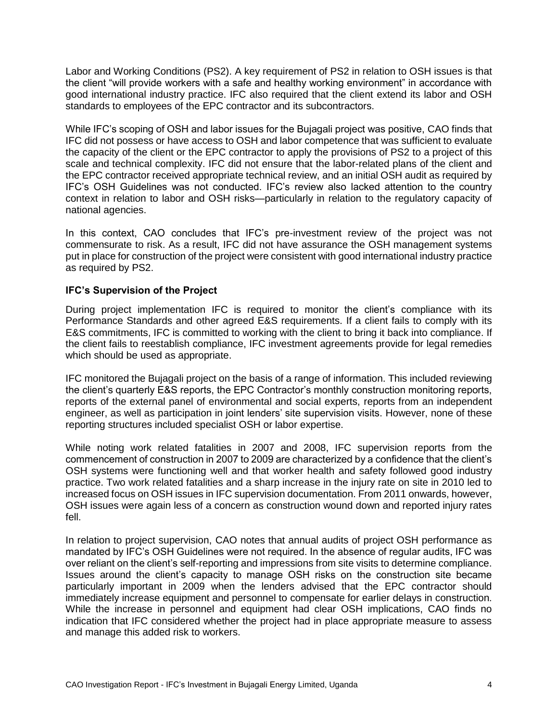Labor and Working Conditions (PS2). A key requirement of PS2 in relation to OSH issues is that the client "will provide workers with a safe and healthy working environment" in accordance with good international industry practice. IFC also required that the client extend its labor and OSH standards to employees of the EPC contractor and its subcontractors.

While IFC's scoping of OSH and labor issues for the Bujagali project was positive, CAO finds that IFC did not possess or have access to OSH and labor competence that was sufficient to evaluate the capacity of the client or the EPC contractor to apply the provisions of PS2 to a project of this scale and technical complexity. IFC did not ensure that the labor-related plans of the client and the EPC contractor received appropriate technical review, and an initial OSH audit as required by IFC's OSH Guidelines was not conducted. IFC's review also lacked attention to the country context in relation to labor and OSH risks—particularly in relation to the regulatory capacity of national agencies.

In this context, CAO concludes that IFC's pre-investment review of the project was not commensurate to risk. As a result, IFC did not have assurance the OSH management systems put in place for construction of the project were consistent with good international industry practice as required by PS2.

#### **IFC's Supervision of the Project**

During project implementation IFC is required to monitor the client's compliance with its Performance Standards and other agreed E&S requirements. If a client fails to comply with its E&S commitments, IFC is committed to working with the client to bring it back into compliance. If the client fails to reestablish compliance, IFC investment agreements provide for legal remedies which should be used as appropriate.

IFC monitored the Bujagali project on the basis of a range of information. This included reviewing the client's quarterly E&S reports, the EPC Contractor's monthly construction monitoring reports, reports of the external panel of environmental and social experts, reports from an independent engineer, as well as participation in joint lenders' site supervision visits. However, none of these reporting structures included specialist OSH or labor expertise.

While noting work related fatalities in 2007 and 2008, IFC supervision reports from the commencement of construction in 2007 to 2009 are characterized by a confidence that the client's OSH systems were functioning well and that worker health and safety followed good industry practice. Two work related fatalities and a sharp increase in the injury rate on site in 2010 led to increased focus on OSH issues in IFC supervision documentation. From 2011 onwards, however, OSH issues were again less of a concern as construction wound down and reported injury rates fell.

In relation to project supervision, CAO notes that annual audits of project OSH performance as mandated by IFC's OSH Guidelines were not required. In the absence of regular audits, IFC was over reliant on the client's self-reporting and impressions from site visits to determine compliance. Issues around the client's capacity to manage OSH risks on the construction site became particularly important in 2009 when the lenders advised that the EPC contractor should immediately increase equipment and personnel to compensate for earlier delays in construction. While the increase in personnel and equipment had clear OSH implications, CAO finds no indication that IFC considered whether the project had in place appropriate measure to assess and manage this added risk to workers.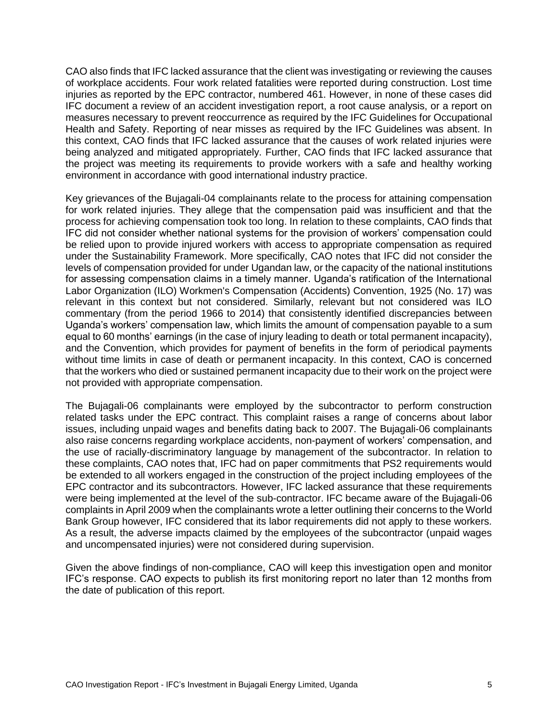CAO also finds that IFC lacked assurance that the client was investigating or reviewing the causes of workplace accidents. Four work related fatalities were reported during construction. Lost time injuries as reported by the EPC contractor, numbered 461. However, in none of these cases did IFC document a review of an accident investigation report, a root cause analysis, or a report on measures necessary to prevent reoccurrence as required by the IFC Guidelines for Occupational Health and Safety. Reporting of near misses as required by the IFC Guidelines was absent. In this context, CAO finds that IFC lacked assurance that the causes of work related injuries were being analyzed and mitigated appropriately. Further, CAO finds that IFC lacked assurance that the project was meeting its requirements to provide workers with a safe and healthy working environment in accordance with good international industry practice.

Key grievances of the Bujagali-04 complainants relate to the process for attaining compensation for work related injuries. They allege that the compensation paid was insufficient and that the process for achieving compensation took too long. In relation to these complaints, CAO finds that IFC did not consider whether national systems for the provision of workers' compensation could be relied upon to provide injured workers with access to appropriate compensation as required under the Sustainability Framework. More specifically, CAO notes that IFC did not consider the levels of compensation provided for under Ugandan law, or the capacity of the national institutions for assessing compensation claims in a timely manner. Uganda's ratification of the International Labor Organization (ILO) [Workmen's Compensation \(Accidents\) Convention, 1925 \(No.](http://www.ilo.org/dyn/normlex/en/f?p=NORMLEXPUB:12100:0::NO:12100:P12100_INSTRUMENT_ID:312162:NO) 17) was relevant in this context but not considered. Similarly, relevant but not considered was ILO commentary (from the period 1966 to 2014) that consistently identified discrepancies between Uganda's workers' compensation law, which limits the amount of compensation payable to a sum equal to 60 months' earnings (in the case of injury leading to death or total permanent incapacity), and the Convention, which provides for payment of benefits in the form of periodical payments without time limits in case of death or permanent incapacity. In this context, CAO is concerned that the workers who died or sustained permanent incapacity due to their work on the project were not provided with appropriate compensation.

The Bujagali-06 complainants were employed by the subcontractor to perform construction related tasks under the EPC contract. This complaint raises a range of concerns about labor issues, including unpaid wages and benefits dating back to 2007. The Bujagali-06 complainants also raise concerns regarding workplace accidents, non-payment of workers' compensation, and the use of racially-discriminatory language by management of the subcontractor. In relation to these complaints, CAO notes that, IFC had on paper commitments that PS2 requirements would be extended to all workers engaged in the construction of the project including employees of the EPC contractor and its subcontractors. However, IFC lacked assurance that these requirements were being implemented at the level of the sub-contractor. IFC became aware of the Bujagali-06 complaints in April 2009 when the complainants wrote a letter outlining their concerns to the World Bank Group however, IFC considered that its labor requirements did not apply to these workers. As a result, the adverse impacts claimed by the employees of the subcontractor (unpaid wages and uncompensated injuries) were not considered during supervision.

Given the above findings of non-compliance, CAO will keep this investigation open and monitor IFC's response. CAO expects to publish its first monitoring report no later than 12 months from the date of publication of this report.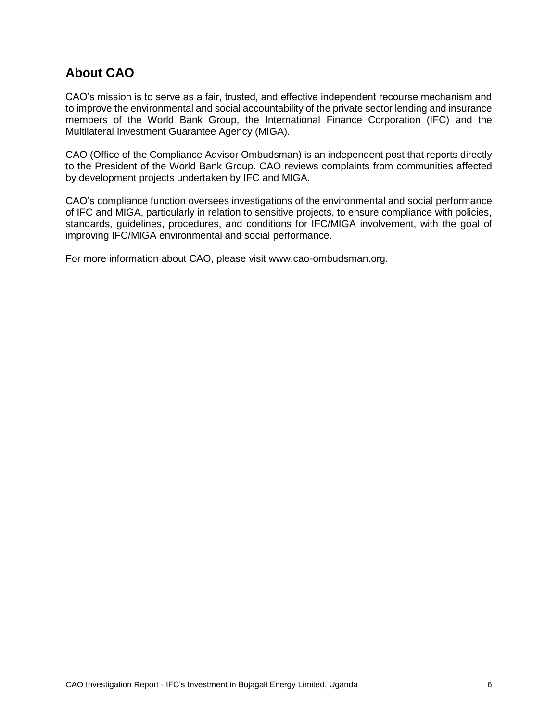### **About CAO**

CAO's mission is to serve as a fair, trusted, and effective independent recourse mechanism and to improve the environmental and social accountability of the private sector lending and insurance members of the World Bank Group, the International Finance Corporation (IFC) and the Multilateral Investment Guarantee Agency (MIGA).

CAO (Office of the Compliance Advisor Ombudsman) is an independent post that reports directly to the President of the World Bank Group. CAO reviews complaints from communities affected by development projects undertaken by IFC and MIGA.

CAO's compliance function oversees investigations of the environmental and social performance of IFC and MIGA, particularly in relation to sensitive projects, to ensure compliance with policies, standards, guidelines, procedures, and conditions for IFC/MIGA involvement, with the goal of improving IFC/MIGA environmental and social performance.

For more information about CAO, please visit www.cao-ombudsman.org.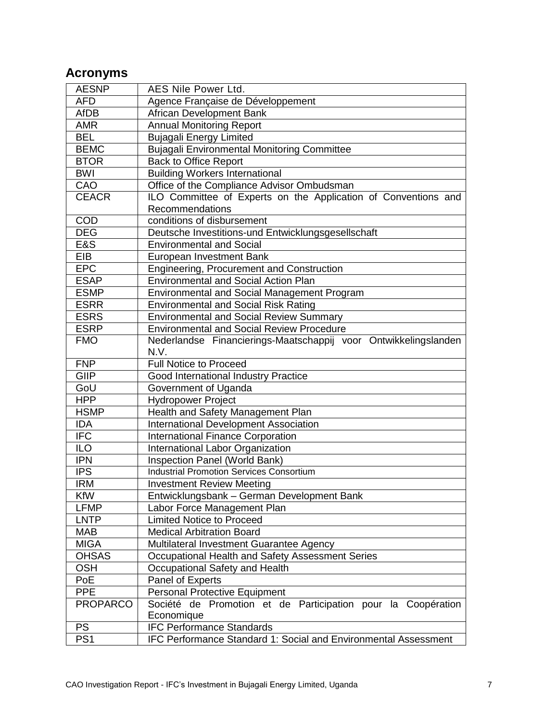# <span id="page-6-0"></span>**Acronyms**

| <b>AESNP</b>    | AES Nile Power Ltd.                                             |  |  |
|-----------------|-----------------------------------------------------------------|--|--|
| <b>AFD</b>      | Agence Française de Développement                               |  |  |
| <b>AfDB</b>     | African Development Bank                                        |  |  |
| <b>AMR</b>      | <b>Annual Monitoring Report</b>                                 |  |  |
| <b>BEL</b>      | <b>Bujagali Energy Limited</b>                                  |  |  |
| <b>BEMC</b>     | <b>Bujagali Environmental Monitoring Committee</b>              |  |  |
| <b>BTOR</b>     | <b>Back to Office Report</b>                                    |  |  |
| <b>BWI</b>      | <b>Building Workers International</b>                           |  |  |
| CAO             | Office of the Compliance Advisor Ombudsman                      |  |  |
| <b>CEACR</b>    | ILO Committee of Experts on the Application of Conventions and  |  |  |
|                 | Recommendations                                                 |  |  |
| COD             | conditions of disbursement                                      |  |  |
| <b>DEG</b>      | Deutsche Investitions-und Entwicklungsgesellschaft              |  |  |
| E&S             | <b>Environmental and Social</b>                                 |  |  |
| <b>EIB</b>      | European Investment Bank                                        |  |  |
| EPC             | Engineering, Procurement and Construction                       |  |  |
| <b>ESAP</b>     | <b>Environmental and Social Action Plan</b>                     |  |  |
| <b>ESMP</b>     | <b>Environmental and Social Management Program</b>              |  |  |
| <b>ESRR</b>     | <b>Environmental and Social Risk Rating</b>                     |  |  |
| <b>ESRS</b>     | <b>Environmental and Social Review Summary</b>                  |  |  |
| <b>ESRP</b>     | <b>Environmental and Social Review Procedure</b>                |  |  |
| <b>FMO</b>      | Nederlandse Financierings-Maatschappij voor Ontwikkelingslanden |  |  |
|                 | N.V.                                                            |  |  |
| <b>FNP</b>      | <b>Full Notice to Proceed</b>                                   |  |  |
| <b>GIIP</b>     | Good International Industry Practice                            |  |  |
| GoU             | Government of Uganda                                            |  |  |
| <b>HPP</b>      | <b>Hydropower Project</b>                                       |  |  |
| <b>HSMP</b>     | Health and Safety Management Plan                               |  |  |
| <b>IDA</b>      | <b>International Development Association</b>                    |  |  |
| <b>IFC</b>      | <b>International Finance Corporation</b>                        |  |  |
| <b>ILO</b>      | International Labor Organization                                |  |  |
| <b>IPN</b>      | Inspection Panel (World Bank)                                   |  |  |
| <b>IPS</b>      | <b>Industrial Promotion Services Consortium</b>                 |  |  |
| <b>IRM</b>      | <b>Investment Review Meeting</b>                                |  |  |
| KfW             | Entwicklungsbank – German Development Bank                      |  |  |
| <b>LFMP</b>     | Labor Force Management Plan                                     |  |  |
| <b>LNTP</b>     | <b>Limited Notice to Proceed</b>                                |  |  |
| <b>MAB</b>      | <b>Medical Arbitration Board</b>                                |  |  |
| <b>MIGA</b>     | Multilateral Investment Guarantee Agency                        |  |  |
| <b>OHSAS</b>    | Occupational Health and Safety Assessment Series                |  |  |
| <b>OSH</b>      | Occupational Safety and Health                                  |  |  |
| PoE             | Panel of Experts                                                |  |  |
| PPE             | <b>Personal Protective Equipment</b>                            |  |  |
| <b>PROPARCO</b> | Société de Promotion et de Participation pour la Coopération    |  |  |
|                 | Economique                                                      |  |  |
| <b>PS</b>       | <b>IFC Performance Standards</b>                                |  |  |
| PS <sub>1</sub> | IFC Performance Standard 1: Social and Environmental Assessment |  |  |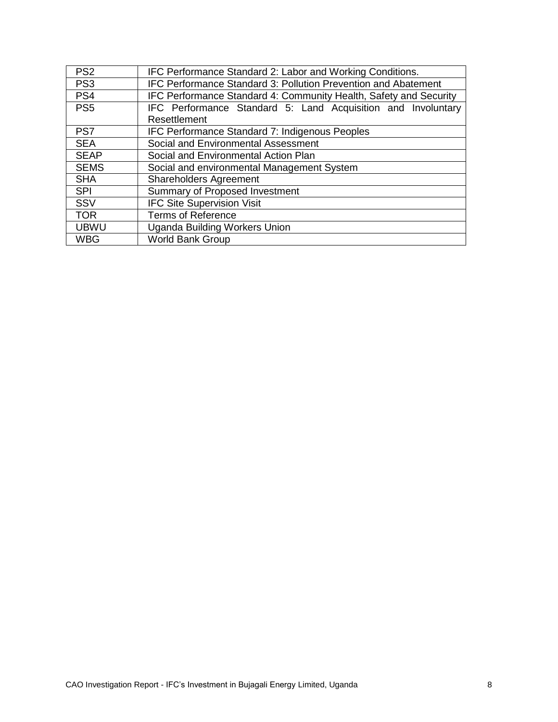| PS <sub>2</sub> | IFC Performance Standard 2: Labor and Working Conditions.         |  |  |
|-----------------|-------------------------------------------------------------------|--|--|
| PS <sub>3</sub> | IFC Performance Standard 3: Pollution Prevention and Abatement    |  |  |
| PS4             | IFC Performance Standard 4: Community Health, Safety and Security |  |  |
| PS <sub>5</sub> | IFC Performance Standard 5: Land Acquisition and Involuntary      |  |  |
|                 | Resettlement                                                      |  |  |
| PS7             | IFC Performance Standard 7: Indigenous Peoples                    |  |  |
| <b>SEA</b>      | Social and Environmental Assessment                               |  |  |
| <b>SEAP</b>     | Social and Environmental Action Plan                              |  |  |
| <b>SEMS</b>     | Social and environmental Management System                        |  |  |
| <b>SHA</b>      | <b>Shareholders Agreement</b>                                     |  |  |
| <b>SPI</b>      | Summary of Proposed Investment                                    |  |  |
| SSV             | <b>IFC Site Supervision Visit</b>                                 |  |  |
| <b>TOR</b>      | <b>Terms of Reference</b>                                         |  |  |
| <b>UBWU</b>     | <b>Uganda Building Workers Union</b>                              |  |  |
| <b>WBG</b>      | <b>World Bank Group</b>                                           |  |  |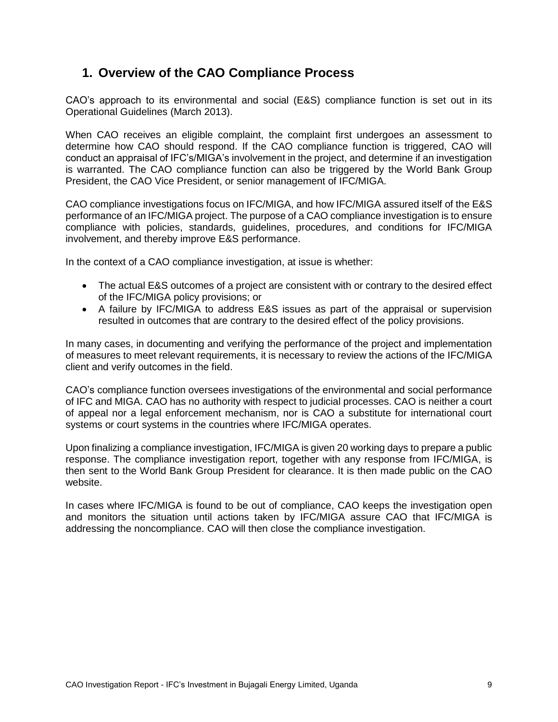### <span id="page-8-0"></span>**1. Overview of the CAO Compliance Process**

CAO's approach to its environmental and social (E&S) compliance function is set out in its Operational Guidelines (March 2013).

When CAO receives an eligible complaint, the complaint first undergoes an assessment to determine how CAO should respond. If the CAO compliance function is triggered, CAO will conduct an appraisal of IFC's/MIGA's involvement in the project, and determine if an investigation is warranted. The CAO compliance function can also be triggered by the World Bank Group President, the CAO Vice President, or senior management of IFC/MIGA.

CAO compliance investigations focus on IFC/MIGA, and how IFC/MIGA assured itself of the E&S performance of an IFC/MIGA project. The purpose of a CAO compliance investigation is to ensure compliance with policies, standards, guidelines, procedures, and conditions for IFC/MIGA involvement, and thereby improve E&S performance.

In the context of a CAO compliance investigation, at issue is whether:

- The actual E&S outcomes of a project are consistent with or contrary to the desired effect of the IFC/MIGA policy provisions; or
- A failure by IFC/MIGA to address E&S issues as part of the appraisal or supervision resulted in outcomes that are contrary to the desired effect of the policy provisions.

In many cases, in documenting and verifying the performance of the project and implementation of measures to meet relevant requirements, it is necessary to review the actions of the IFC/MIGA client and verify outcomes in the field.

CAO's compliance function oversees investigations of the environmental and social performance of IFC and MIGA. CAO has no authority with respect to judicial processes. CAO is neither a court of appeal nor a legal enforcement mechanism, nor is CAO a substitute for international court systems or court systems in the countries where IFC/MIGA operates.

Upon finalizing a compliance investigation, IFC/MIGA is given 20 working days to prepare a public response. The compliance investigation report, together with any response from IFC/MIGA, is then sent to the World Bank Group President for clearance. It is then made public on the CAO website.

In cases where IFC/MIGA is found to be out of compliance, CAO keeps the investigation open and monitors the situation until actions taken by IFC/MIGA assure CAO that IFC/MIGA is addressing the noncompliance. CAO will then close the compliance investigation.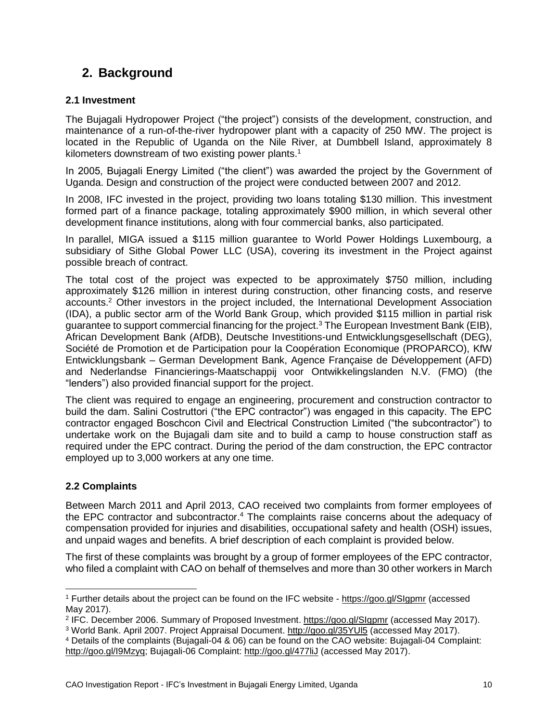### <span id="page-9-0"></span>**2. Background**

#### <span id="page-9-1"></span>**2.1 Investment**

The Bujagali Hydropower Project ("the project") consists of the development, construction, and maintenance of a run-of-the-river hydropower plant with a capacity of 250 MW. The project is located in the Republic of Uganda on the Nile River, at Dumbbell Island, approximately 8 kilometers downstream of two existing power plants.<sup>1</sup>

In 2005, Bujagali Energy Limited ("the client") was awarded the project by the Government of Uganda. Design and construction of the project were conducted between 2007 and 2012.

In 2008, IFC invested in the project, providing two loans totaling \$130 million. This investment formed part of a finance package, totaling approximately \$900 million, in which several other development finance institutions, along with four commercial banks, also participated.

In parallel, MIGA issued a \$115 million guarantee to World Power Holdings Luxembourg, a subsidiary of Sithe Global Power LLC (USA), covering its investment in the Project against possible breach of contract.

The total cost of the project was expected to be approximately \$750 million, including approximately \$126 million in interest during construction, other financing costs, and reserve accounts. <sup>2</sup> Other investors in the project included, the International Development Association (IDA), a public sector arm of the World Bank Group, which provided \$115 million in partial risk guarantee to support commercial financing for the project.<sup>3</sup> The European Investment Bank (EIB), African Development Bank (AfDB), Deutsche Investitions-und Entwicklungsgesellschaft (DEG), Société de Promotion et de Participation pour la Coopération Economique (PROPARCO), KfW Entwicklungsbank – German Development Bank, Agence Française de Développement (AFD) and Nederlandse Financierings-Maatschappij voor Ontwikkelingslanden N.V. (FMO) (the "lenders") also provided financial support for the project.

The client was required to engage an engineering, procurement and construction contractor to build the dam. Salini Costruttori ("the EPC contractor") was engaged in this capacity. The EPC contractor engaged Boschcon Civil and Electrical Construction Limited ("the subcontractor") to undertake work on the Bujagali dam site and to build a camp to house construction staff as required under the EPC contract. During the period of the dam construction, the EPC contractor employed up to 3,000 workers at any one time.

#### <span id="page-9-2"></span>**2.2 Complaints**

 $\overline{a}$ 

Between March 2011 and April 2013, CAO received two complaints from former employees of the EPC contractor and subcontractor.<sup>4</sup> The complaints raise concerns about the adequacy of compensation provided for injuries and disabilities, occupational safety and health (OSH) issues, and unpaid wages and benefits. A brief description of each complaint is provided below.

The first of these complaints was brought by a group of former employees of the EPC contractor, who filed a complaint with CAO on behalf of themselves and more than 30 other workers in March

<sup>4</sup> Details of the complaints (Bujagali-04 & 06) can be found on the CAO website: Bujagali-04 Complaint: [http://goo.gl/I9Mzyq;](http://goo.gl/I9Mzyq) Bujagali-06 Complaint:<http://goo.gl/477liJ> (accessed May 2017).

<sup>1</sup> Further details about the project can be found on the IFC website - <https://goo.gl/SIgpmr> (accessed May 2017).

<sup>&</sup>lt;sup>2</sup> IFC. December 2006. Summary of Proposed Investment. <https://goo.gl/SIgpmr> (accessed May 2017).

<sup>3</sup> World Bank. April 2007. Project Appraisal Document. <http://goo.gl/35YUl5> (accessed May 2017).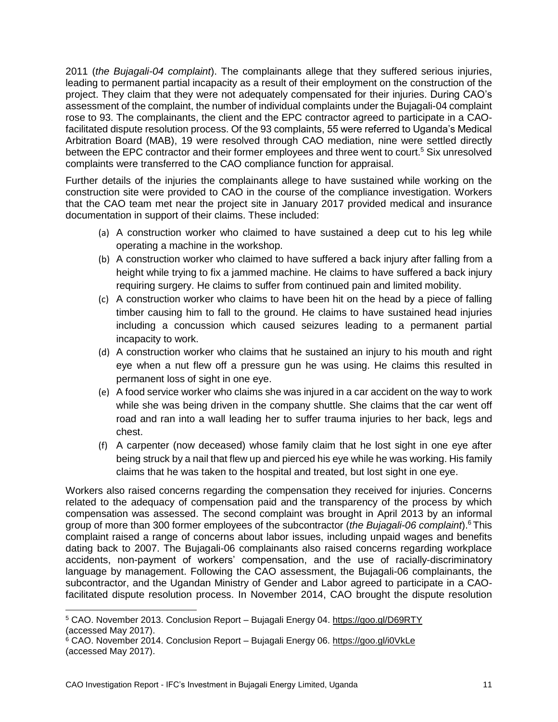2011 (*the Bujagali-04 complaint*). The complainants allege that they suffered serious injuries, leading to permanent partial incapacity as a result of their employment on the construction of the project. They claim that they were not adequately compensated for their injuries. During CAO's assessment of the complaint, the number of individual complaints under the Bujagali-04 complaint rose to 93. The complainants, the client and the EPC contractor agreed to participate in a CAOfacilitated dispute resolution process. Of the 93 complaints, 55 were referred to Uganda's Medical Arbitration Board (MAB), 19 were resolved through CAO mediation, nine were settled directly between the EPC contractor and their former employees and three went to court.<sup>5</sup> Six unresolved complaints were transferred to the CAO compliance function for appraisal.

Further details of the injuries the complainants allege to have sustained while working on the construction site were provided to CAO in the course of the compliance investigation. Workers that the CAO team met near the project site in January 2017 provided medical and insurance documentation in support of their claims. These included:

- (a) A construction worker who claimed to have sustained a deep cut to his leg while operating a machine in the workshop.
- (b) A construction worker who claimed to have suffered a back injury after falling from a height while trying to fix a jammed machine. He claims to have suffered a back injury requiring surgery. He claims to suffer from continued pain and limited mobility.
- (c) A construction worker who claims to have been hit on the head by a piece of falling timber causing him to fall to the ground. He claims to have sustained head injuries including a concussion which caused seizures leading to a permanent partial incapacity to work.
- (d) A construction worker who claims that he sustained an injury to his mouth and right eye when a nut flew off a pressure gun he was using. He claims this resulted in permanent loss of sight in one eye.
- (e) A food service worker who claims she was injured in a car accident on the way to work while she was being driven in the company shuttle. She claims that the car went off road and ran into a wall leading her to suffer trauma injuries to her back, legs and chest.
- (f) A carpenter (now deceased) whose family claim that he lost sight in one eye after being struck by a nail that flew up and pierced his eye while he was working. His family claims that he was taken to the hospital and treated, but lost sight in one eye.

Workers also raised concerns regarding the compensation they received for injuries. Concerns related to the adequacy of compensation paid and the transparency of the process by which compensation was assessed. The second complaint was brought in April 2013 by an informal group of more than 300 former employees of the subcontractor (*the Bujagali-06 complaint*).<sup>6</sup> This complaint raised a range of concerns about labor issues, including unpaid wages and benefits dating back to 2007. The Bujagali-06 complainants also raised concerns regarding workplace accidents, non-payment of workers' compensation, and the use of racially-discriminatory language by management. Following the CAO assessment, the Bujagali-06 complainants, the subcontractor, and the Ugandan Ministry of Gender and Labor agreed to participate in a CAOfacilitated dispute resolution process. In November 2014, CAO brought the dispute resolution

<sup>5</sup> CAO. November 2013. Conclusion Report – Bujagali Energy 04. <https://goo.gl/D69RTY> (accessed May 2017).

<sup>&</sup>lt;sup>6</sup> CAO. November 2014. Conclusion Report – Bujagali Energy 06.<https://goo.gl/i0VkLe> (accessed May 2017).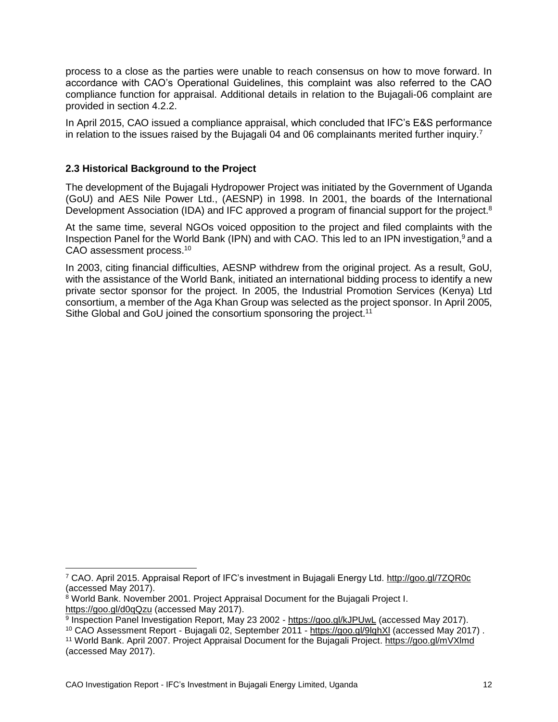process to a close as the parties were unable to reach consensus on how to move forward. In accordance with CAO's Operational Guidelines, this complaint was also referred to the CAO compliance function for appraisal. Additional details in relation to the Bujagali-06 complaint are provided in section 4.2.2.

In April 2015, CAO issued a compliance appraisal, which concluded that IFC's E&S performance in relation to the issues raised by the Bujagali 04 and 06 complainants merited further inquiry.<sup>7</sup>

#### <span id="page-11-0"></span>**2.3 Historical Background to the Project**

The development of the Bujagali Hydropower Project was initiated by the Government of Uganda (GoU) and AES Nile Power Ltd., (AESNP) in 1998. In 2001, the boards of the International Development Association (IDA) and IFC approved a program of financial support for the project.<sup>8</sup>

At the same time, several NGOs voiced opposition to the project and filed complaints with the Inspection Panel for the World Bank (IPN) and with CAO. This led to an IPN investigation, $9$  and a CAO assessment process.<sup>10</sup>

In 2003, citing financial difficulties, AESNP withdrew from the original project. As a result, GoU, with the assistance of the World Bank, initiated an international bidding process to identify a new private sector sponsor for the project. In 2005, the Industrial Promotion Services (Kenya) Ltd consortium, a member of the Aga Khan Group was selected as the project sponsor. In April 2005, Sithe Global and GoU joined the consortium sponsoring the project.<sup>11</sup>

<sup>7</sup> CAO. April 2015. Appraisal Report of IFC's investment in Bujagali Energy Ltd.<http://goo.gl/7ZQR0c> (accessed May 2017).

<sup>8</sup> World Bank. November 2001. Project Appraisal Document for the Bujagali Project I. <https://goo.gl/d0qQzu> (accessed May 2017).

<sup>&</sup>lt;sup>9</sup> Inspection Panel Investigation Report, May 23 2002 - <https://goo.gl/kJPUwL> (accessed May 2017).

<sup>10</sup> CAO Assessment Report - Bujagali 02, September 2011 - <https://goo.gl/9lqhXl> (accessed May 2017) . <sup>11</sup> World Bank. April 2007. Project Appraisal Document for the Bujagali Project. <https://goo.gl/mVXlmd> (accessed May 2017).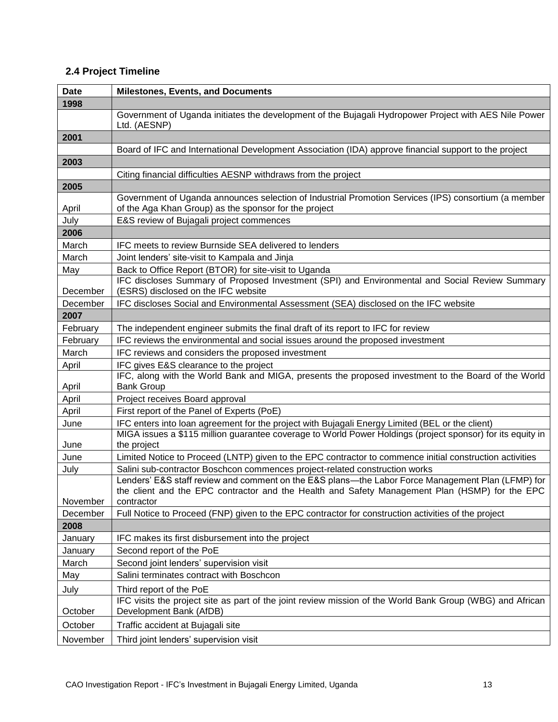### <span id="page-12-0"></span>**2.4 Project Timeline**

| <b>Date</b> | <b>Milestones, Events, and Documents</b>                                                                                                                                                                          |
|-------------|-------------------------------------------------------------------------------------------------------------------------------------------------------------------------------------------------------------------|
| 1998        |                                                                                                                                                                                                                   |
|             | Government of Uganda initiates the development of the Bujagali Hydropower Project with AES Nile Power<br>Ltd. (AESNP)                                                                                             |
| 2001        |                                                                                                                                                                                                                   |
|             | Board of IFC and International Development Association (IDA) approve financial support to the project                                                                                                             |
| 2003        |                                                                                                                                                                                                                   |
|             | Citing financial difficulties AESNP withdraws from the project                                                                                                                                                    |
| 2005        |                                                                                                                                                                                                                   |
| April       | Government of Uganda announces selection of Industrial Promotion Services (IPS) consortium (a member<br>of the Aga Khan Group) as the sponsor for the project                                                     |
| July        | E&S review of Bujagali project commences                                                                                                                                                                          |
| 2006        |                                                                                                                                                                                                                   |
| March       | IFC meets to review Burnside SEA delivered to lenders                                                                                                                                                             |
| March       | Joint lenders' site-visit to Kampala and Jinja                                                                                                                                                                    |
| May         | Back to Office Report (BTOR) for site-visit to Uganda                                                                                                                                                             |
| December    | IFC discloses Summary of Proposed Investment (SPI) and Environmental and Social Review Summary<br>(ESRS) disclosed on the IFC website                                                                             |
| December    | IFC discloses Social and Environmental Assessment (SEA) disclosed on the IFC website                                                                                                                              |
| 2007        |                                                                                                                                                                                                                   |
| February    | The independent engineer submits the final draft of its report to IFC for review                                                                                                                                  |
| February    | IFC reviews the environmental and social issues around the proposed investment                                                                                                                                    |
| March       | IFC reviews and considers the proposed investment                                                                                                                                                                 |
| April       | IFC gives E&S clearance to the project                                                                                                                                                                            |
| April       | IFC, along with the World Bank and MIGA, presents the proposed investment to the Board of the World<br><b>Bank Group</b>                                                                                          |
| April       | Project receives Board approval                                                                                                                                                                                   |
| April       | First report of the Panel of Experts (PoE)                                                                                                                                                                        |
| June        | IFC enters into loan agreement for the project with Bujagali Energy Limited (BEL or the client)                                                                                                                   |
| June        | MIGA issues a \$115 million guarantee coverage to World Power Holdings (project sponsor) for its equity in<br>the project                                                                                         |
| June        | Limited Notice to Proceed (LNTP) given to the EPC contractor to commence initial construction activities                                                                                                          |
| July        | Salini sub-contractor Boschcon commences project-related construction works                                                                                                                                       |
| November    | Lenders' E&S staff review and comment on the E&S plans—the Labor Force Management Plan (LFMP) for<br>the client and the EPC contractor and the Health and Safety Management Plan (HSMP) for the EPC<br>contractor |
| December    | Full Notice to Proceed (FNP) given to the EPC contractor for construction activities of the project                                                                                                               |
| 2008        |                                                                                                                                                                                                                   |
| January     | IFC makes its first disbursement into the project                                                                                                                                                                 |
| January     | Second report of the PoE                                                                                                                                                                                          |
| March       | Second joint lenders' supervision visit                                                                                                                                                                           |
| May         | Salini terminates contract with Boschcon                                                                                                                                                                          |
| July        | Third report of the PoE                                                                                                                                                                                           |
|             | IFC visits the project site as part of the joint review mission of the World Bank Group (WBG) and African                                                                                                         |
| October     | Development Bank (AfDB)                                                                                                                                                                                           |
| October     | Traffic accident at Bujagali site                                                                                                                                                                                 |
| November    | Third joint lenders' supervision visit                                                                                                                                                                            |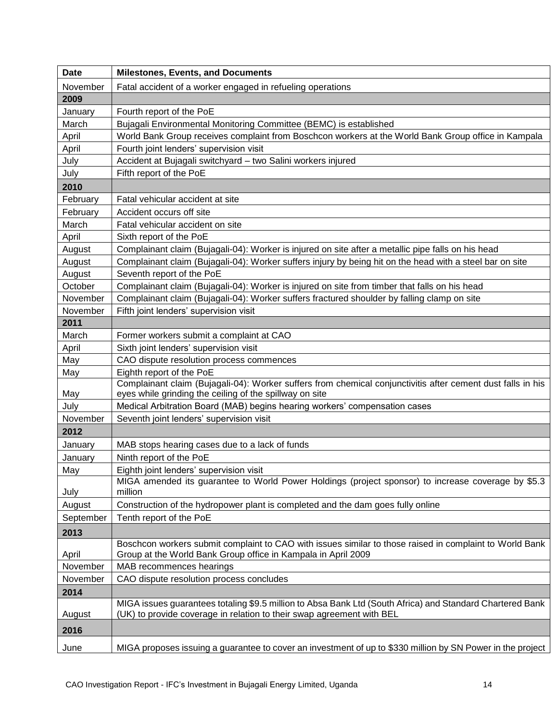| <b>Date</b> | <b>Milestones, Events, and Documents</b>                                                                                                                                 |
|-------------|--------------------------------------------------------------------------------------------------------------------------------------------------------------------------|
| November    | Fatal accident of a worker engaged in refueling operations                                                                                                               |
| 2009        |                                                                                                                                                                          |
| January     | Fourth report of the PoE                                                                                                                                                 |
| March       | Bujagali Environmental Monitoring Committee (BEMC) is established                                                                                                        |
| April       | World Bank Group receives complaint from Boschcon workers at the World Bank Group office in Kampala                                                                      |
| April       | Fourth joint lenders' supervision visit                                                                                                                                  |
| July        | Accident at Bujagali switchyard - two Salini workers injured                                                                                                             |
| July        | Fifth report of the PoE                                                                                                                                                  |
| 2010        |                                                                                                                                                                          |
| February    | Fatal vehicular accident at site                                                                                                                                         |
| February    | Accident occurs off site                                                                                                                                                 |
| March       | Fatal vehicular accident on site                                                                                                                                         |
| April       | Sixth report of the PoE                                                                                                                                                  |
| August      | Complainant claim (Bujagali-04): Worker is injured on site after a metallic pipe falls on his head                                                                       |
| August      | Complainant claim (Bujagali-04): Worker suffers injury by being hit on the head with a steel bar on site                                                                 |
| August      | Seventh report of the PoE                                                                                                                                                |
| October     | Complainant claim (Bujagali-04): Worker is injured on site from timber that falls on his head                                                                            |
| November    | Complainant claim (Bujagali-04): Worker suffers fractured shoulder by falling clamp on site                                                                              |
| November    | Fifth joint lenders' supervision visit                                                                                                                                   |
| 2011        |                                                                                                                                                                          |
| March       | Former workers submit a complaint at CAO                                                                                                                                 |
| April       | Sixth joint lenders' supervision visit                                                                                                                                   |
| May         | CAO dispute resolution process commences                                                                                                                                 |
| May         | Eighth report of the PoE                                                                                                                                                 |
| May         | Complainant claim (Bujagali-04): Worker suffers from chemical conjunctivitis after cement dust falls in his<br>eyes while grinding the ceiling of the spillway on site   |
| July        | Medical Arbitration Board (MAB) begins hearing workers' compensation cases                                                                                               |
| November    | Seventh joint lenders' supervision visit                                                                                                                                 |
| 2012        |                                                                                                                                                                          |
| January     | MAB stops hearing cases due to a lack of funds                                                                                                                           |
| January     | Ninth report of the PoE                                                                                                                                                  |
| May         | Eighth joint lenders' supervision visit                                                                                                                                  |
| July        | MIGA amended its guarantee to World Power Holdings (project sponsor) to increase coverage by \$5.3<br>million                                                            |
| August      | Construction of the hydropower plant is completed and the dam goes fully online                                                                                          |
| September   | Tenth report of the PoE                                                                                                                                                  |
| 2013        |                                                                                                                                                                          |
| April       | Boschcon workers submit complaint to CAO with issues similar to those raised in complaint to World Bank<br>Group at the World Bank Group office in Kampala in April 2009 |
| November    | MAB recommences hearings                                                                                                                                                 |
| November    | CAO dispute resolution process concludes                                                                                                                                 |
| 2014        |                                                                                                                                                                          |
|             | MIGA issues guarantees totaling \$9.5 million to Absa Bank Ltd (South Africa) and Standard Chartered Bank                                                                |
| August      | (UK) to provide coverage in relation to their swap agreement with BEL                                                                                                    |
| 2016        |                                                                                                                                                                          |
| June        | MIGA proposes issuing a guarantee to cover an investment of up to \$330 million by SN Power in the project                                                               |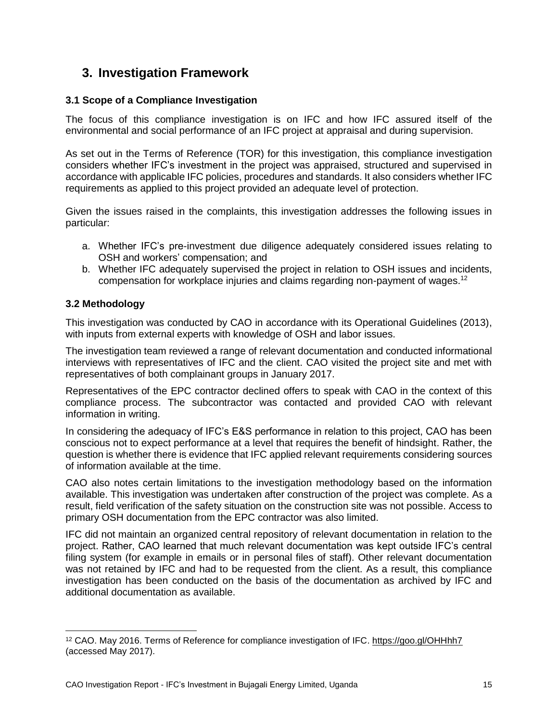### <span id="page-14-0"></span>**3. Investigation Framework**

#### <span id="page-14-1"></span>**3.1 Scope of a Compliance Investigation**

The focus of this compliance investigation is on IFC and how IFC assured itself of the environmental and social performance of an IFC project at appraisal and during supervision.

As set out in the Terms of Reference (TOR) for this investigation, this compliance investigation considers whether IFC's investment in the project was appraised, structured and supervised in accordance with applicable IFC policies, procedures and standards. It also considers whether IFC requirements as applied to this project provided an adequate level of protection.

Given the issues raised in the complaints, this investigation addresses the following issues in particular:

- a. Whether IFC's pre-investment due diligence adequately considered issues relating to OSH and workers' compensation; and
- b. Whether IFC adequately supervised the project in relation to OSH issues and incidents, compensation for workplace injuries and claims regarding non-payment of wages.<sup>12</sup>

#### <span id="page-14-2"></span>**3.2 Methodology**

 $\overline{a}$ 

This investigation was conducted by CAO in accordance with its Operational Guidelines (2013), with inputs from external experts with knowledge of OSH and labor issues.

The investigation team reviewed a range of relevant documentation and conducted informational interviews with representatives of IFC and the client. CAO visited the project site and met with representatives of both complainant groups in January 2017.

Representatives of the EPC contractor declined offers to speak with CAO in the context of this compliance process. The subcontractor was contacted and provided CAO with relevant information in writing.

In considering the adequacy of IFC's E&S performance in relation to this project, CAO has been conscious not to expect performance at a level that requires the benefit of hindsight. Rather, the question is whether there is evidence that IFC applied relevant requirements considering sources of information available at the time.

CAO also notes certain limitations to the investigation methodology based on the information available. This investigation was undertaken after construction of the project was complete. As a result, field verification of the safety situation on the construction site was not possible. Access to primary OSH documentation from the EPC contractor was also limited.

IFC did not maintain an organized central repository of relevant documentation in relation to the project. Rather, CAO learned that much relevant documentation was kept outside IFC's central filing system (for example in emails or in personal files of staff). Other relevant documentation was not retained by IFC and had to be requested from the client. As a result, this compliance investigation has been conducted on the basis of the documentation as archived by IFC and additional documentation as available.

<sup>12</sup> CAO. May 2016. Terms of Reference for compliance investigation of IFC. <https://goo.gl/OHHhh7> (accessed May 2017).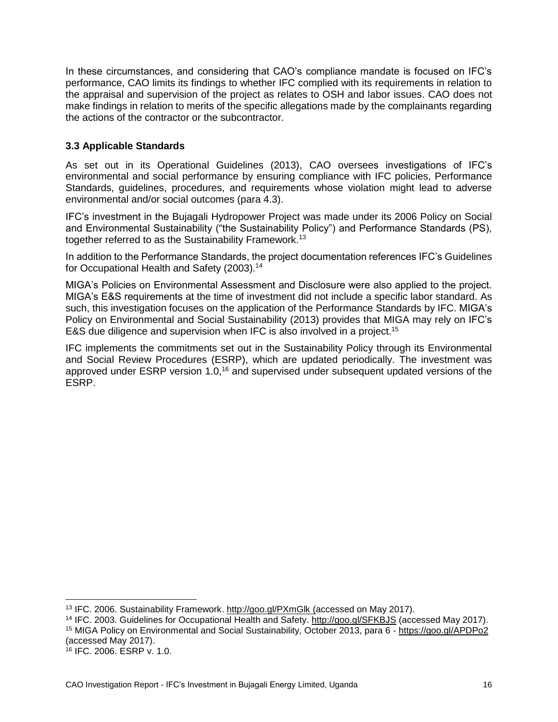In these circumstances, and considering that CAO's compliance mandate is focused on IFC's performance, CAO limits its findings to whether IFC complied with its requirements in relation to the appraisal and supervision of the project as relates to OSH and labor issues. CAO does not make findings in relation to merits of the specific allegations made by the complainants regarding the actions of the contractor or the subcontractor.

#### <span id="page-15-0"></span>**3.3 Applicable Standards**

As set out in its Operational Guidelines (2013), CAO oversees investigations of IFC's environmental and social performance by ensuring compliance with IFC policies, Performance Standards, guidelines, procedures, and requirements whose violation might lead to adverse environmental and/or social outcomes (para 4.3).

IFC's investment in the Bujagali Hydropower Project was made under its 2006 Policy on Social and Environmental Sustainability ("the Sustainability Policy") and Performance Standards (PS), together referred to as the Sustainability Framework.<sup>13</sup>

In addition to the Performance Standards, the project documentation references IFC's Guidelines for Occupational Health and Safety (2003).<sup>14</sup>

MIGA's Policies on Environmental Assessment and Disclosure were also applied to the project. MIGA's E&S requirements at the time of investment did not include a specific labor standard. As such, this investigation focuses on the application of the Performance Standards by IFC. MIGA's Policy on Environmental and Social Sustainability (2013) provides that MIGA may rely on IFC's E&S due diligence and supervision when IFC is also involved in a project.<sup>15</sup>

IFC implements the commitments set out in the Sustainability Policy through its Environmental and Social Review Procedures (ESRP), which are updated periodically. The investment was approved under ESRP version 1.0,<sup>16</sup> and supervised under subsequent updated versions of the ESRP.

<sup>13</sup> IFC. 2006. Sustainability Framework. <http://goo.gl/PXmGlk> (accessed on May 2017).

<sup>&</sup>lt;sup>14</sup> IFC. 2003. Guidelines for Occupational Health and Safety. <http://goo.gl/SFKBJS> (accessed May 2017). 15 MIGA Policy on Environmental and Social Sustainability, October 2013, para 6 - <https://goo.gl/APDPo2> (accessed May 2017).

<sup>16</sup> IFC. 2006. ESRP v. 1.0.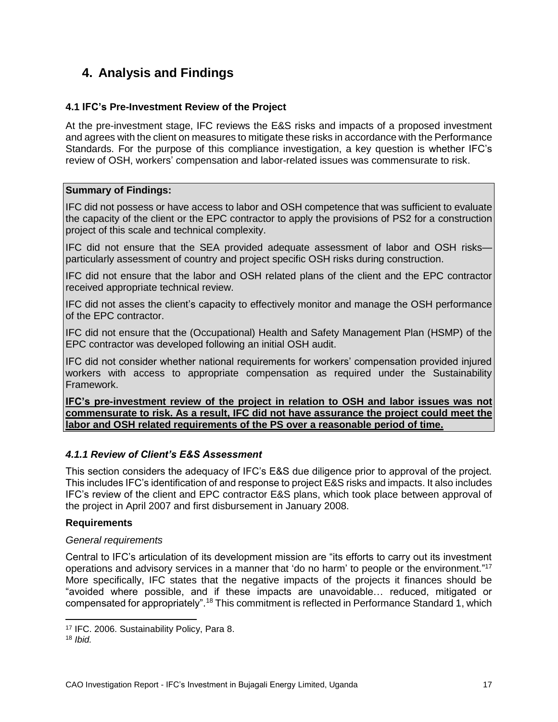## <span id="page-16-0"></span>**4. Analysis and Findings**

#### <span id="page-16-1"></span>**4.1 IFC's Pre-Investment Review of the Project**

At the pre-investment stage, IFC reviews the E&S risks and impacts of a proposed investment and agrees with the client on measures to mitigate these risks in accordance with the Performance Standards. For the purpose of this compliance investigation, a key question is whether IFC's review of OSH, workers' compensation and labor-related issues was commensurate to risk.

#### **Summary of Findings:**

IFC did not possess or have access to labor and OSH competence that was sufficient to evaluate the capacity of the client or the EPC contractor to apply the provisions of PS2 for a construction project of this scale and technical complexity.

IFC did not ensure that the SEA provided adequate assessment of labor and OSH risks particularly assessment of country and project specific OSH risks during construction.

IFC did not ensure that the labor and OSH related plans of the client and the EPC contractor received appropriate technical review.

IFC did not asses the client's capacity to effectively monitor and manage the OSH performance of the EPC contractor.

IFC did not ensure that the (Occupational) Health and Safety Management Plan (HSMP) of the EPC contractor was developed following an initial OSH audit.

IFC did not consider whether national requirements for workers' compensation provided injured workers with access to appropriate compensation as required under the Sustainability Framework.

**IFC's pre-investment review of the project in relation to OSH and labor issues was not commensurate to risk. As a result, IFC did not have assurance the project could meet the labor and OSH related requirements of the PS over a reasonable period of time.**

#### *4.1.1 Review of Client's E&S Assessment*

This section considers the adequacy of IFC's E&S due diligence prior to approval of the project. This includes IFC's identification of and response to project E&S risks and impacts. It also includes IFC's review of the client and EPC contractor E&S plans, which took place between approval of the project in April 2007 and first disbursement in January 2008.

#### **Requirements**

#### *General requirements*

Central to IFC's articulation of its development mission are "its efforts to carry out its investment operations and advisory services in a manner that 'do no harm' to people or the environment."<sup>17</sup> More specifically, IFC states that the negative impacts of the projects it finances should be "avoided where possible, and if these impacts are unavoidable… reduced, mitigated or compensated for appropriately".<sup>18</sup> This commitment is reflected in Performance Standard 1, which

<sup>17</sup> IFC. 2006. Sustainability Policy, Para 8.

<sup>18</sup> *Ibid.*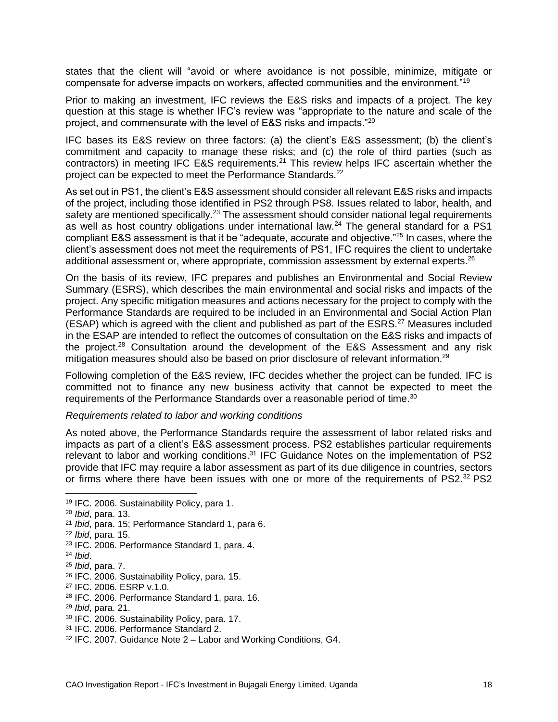states that the client will "avoid or where avoidance is not possible, minimize, mitigate or compensate for adverse impacts on workers, affected communities and the environment."<sup>19</sup>

Prior to making an investment, IFC reviews the E&S risks and impacts of a project. The key question at this stage is whether IFC's review was "appropriate to the nature and scale of the project, and commensurate with the level of E&S risks and impacts."<sup>20</sup>

IFC bases its E&S review on three factors: (a) the client's E&S assessment; (b) the client's commitment and capacity to manage these risks; and (c) the role of third parties (such as contractors) in meeting IFC E&S requirements.<sup>21</sup> This review helps IFC ascertain whether the project can be expected to meet the Performance Standards.<sup>22</sup>

As set out in PS1, the client's E&S assessment should consider all relevant E&S risks and impacts of the project, including those identified in PS2 through PS8. Issues related to labor, health, and safety are mentioned specifically.<sup>23</sup> The assessment should consider national legal requirements as well as host country obligations under international law.<sup>24</sup> The general standard for a PS1 compliant E&S assessment is that it be "adequate, accurate and objective."<sup>25</sup> In cases, where the client's assessment does not meet the requirements of PS1, IFC requires the client to undertake additional assessment or, where appropriate, commission assessment by external experts.<sup>26</sup>

On the basis of its review, IFC prepares and publishes an Environmental and Social Review Summary (ESRS), which describes the main environmental and social risks and impacts of the project. Any specific mitigation measures and actions necessary for the project to comply with the Performance Standards are required to be included in an Environmental and Social Action Plan (ESAP) which is agreed with the client and published as part of the ESRS.<sup>27</sup> Measures included in the ESAP are intended to reflect the outcomes of consultation on the E&S risks and impacts of the project.<sup>28</sup> Consultation around the development of the E&S Assessment and any risk mitigation measures should also be based on prior disclosure of relevant information.<sup>29</sup>

Following completion of the E&S review, IFC decides whether the project can be funded. IFC is committed not to finance any new business activity that cannot be expected to meet the requirements of the Performance Standards over a reasonable period of time.<sup>30</sup>

#### *Requirements related to labor and working conditions*

As noted above, the Performance Standards require the assessment of labor related risks and impacts as part of a client's E&S assessment process. PS2 establishes particular requirements relevant to labor and working conditions.<sup>31</sup> IFC Guidance Notes on the implementation of PS2 provide that IFC may require a labor assessment as part of its due diligence in countries, sectors or firms where there have been issues with one or more of the requirements of  $PS2^{32}$  PS2

<sup>19</sup> IFC. 2006. Sustainability Policy, para 1.

<sup>20</sup> *Ibid*, para. 13.

<sup>21</sup> *Ibid*, para. 15; Performance Standard 1, para 6.

<sup>22</sup> *Ibid*, para. 15.

<sup>23</sup> IFC. 2006. Performance Standard 1, para. 4.

<sup>24</sup> *Ibid*.

<sup>25</sup> *Ibid*, para. 7.

<sup>26</sup> IFC. 2006. Sustainability Policy, para. 15.

<sup>27</sup> IFC. 2006. ESRP v.1.0.

<sup>28</sup> IFC. 2006. Performance Standard 1, para. 16.

<sup>29</sup> *Ibid*, para. 21.

<sup>30</sup> IFC. 2006. Sustainability Policy, para. 17.

<sup>31</sup> IFC. 2006. Performance Standard 2.

<sup>32</sup> IFC. 2007. Guidance Note 2 – Labor and Working Conditions, G4.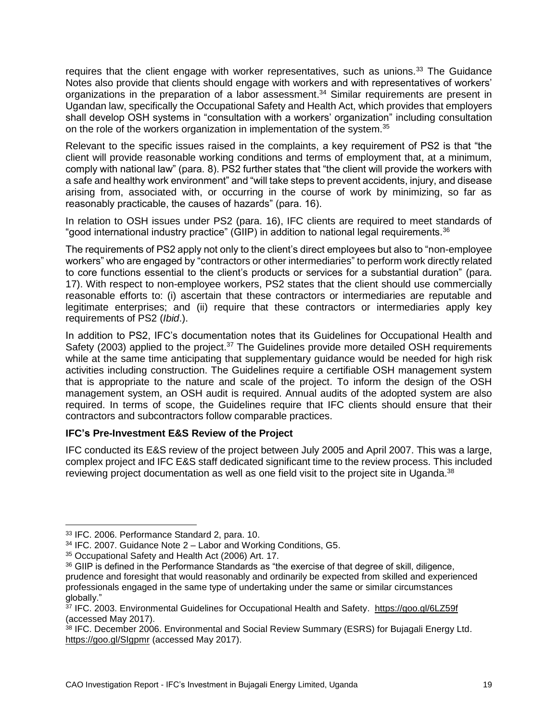requires that the client engage with worker representatives, such as unions.<sup>33</sup> The Guidance Notes also provide that clients should engage with workers and with representatives of workers' organizations in the preparation of a labor assessment.<sup>34</sup> Similar requirements are present in Ugandan law, specifically the Occupational Safety and Health Act, which provides that employers shall develop OSH systems in "consultation with a workers' organization" including consultation on the role of the workers organization in implementation of the system.<sup>35</sup>

Relevant to the specific issues raised in the complaints, a key requirement of PS2 is that "the client will provide reasonable working conditions and terms of employment that, at a minimum, comply with national law" (para. 8). PS2 further states that "the client will provide the workers with a safe and healthy work environment" and "will take steps to prevent accidents, injury, and disease arising from, associated with, or occurring in the course of work by minimizing, so far as reasonably practicable, the causes of hazards" (para. 16).

In relation to OSH issues under PS2 (para. 16), IFC clients are required to meet standards of "good international industry practice" (GIIP) in addition to national legal requirements.<sup>36</sup>

The requirements of PS2 apply not only to the client's direct employees but also to "non-employee workers" who are engaged by "contractors or other intermediaries" to perform work directly related to core functions essential to the client's products or services for a substantial duration" (para. 17). With respect to non-employee workers, PS2 states that the client should use commercially reasonable efforts to: (i) ascertain that these contractors or intermediaries are reputable and legitimate enterprises; and (ii) require that these contractors or intermediaries apply key requirements of PS2 (*Ibid*.).

In addition to PS2, IFC's documentation notes that its Guidelines for Occupational Health and Safety (2003) applied to the project.<sup>37</sup> The Guidelines provide more detailed OSH requirements while at the same time anticipating that supplementary guidance would be needed for high risk activities including construction. The Guidelines require a certifiable OSH management system that is appropriate to the nature and scale of the project. To inform the design of the OSH management system, an OSH audit is required. Annual audits of the adopted system are also required. In terms of scope, the Guidelines require that IFC clients should ensure that their contractors and subcontractors follow comparable practices.

#### **IFC's Pre-Investment E&S Review of the Project**

IFC conducted its E&S review of the project between July 2005 and April 2007. This was a large, complex project and IFC E&S staff dedicated significant time to the review process. This included reviewing project documentation as well as one field visit to the project site in Uganda.<sup>38</sup>

<sup>33</sup> IFC. 2006. Performance Standard 2, para. 10.

 $34$  IFC. 2007. Guidance Note  $2 -$  Labor and Working Conditions, G5.

<sup>35</sup> Occupational Safety and Health Act (2006) Art. 17.

<sup>36</sup> GIIP is defined in the Performance Standards as "the exercise of that degree of skill, diligence, prudence and foresight that would reasonably and ordinarily be expected from skilled and experienced professionals engaged in the same type of undertaking under the same or similar circumstances globally."

<sup>&</sup>lt;sup>37</sup> IFC. 2003. Environmental Guidelines for Occupational Health and Safety. <https://goo.gl/6LZ59f> (accessed May 2017).

<sup>38</sup> IFC. December 2006. Environmental and Social Review Summary (ESRS) for Bujagali Energy Ltd. <https://goo.gl/SIgpmr> (accessed May 2017).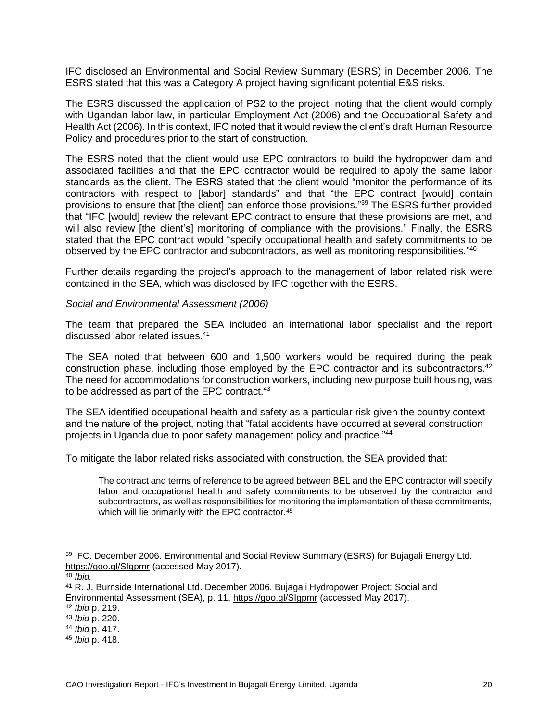IFC disclosed an Environmental and Social Review Summary (ESRS) in December 2006. The ESRS stated that this was a Category A project having significant potential E&S risks.

The ESRS discussed the application of PS2 to the project, noting that the client would comply with Ugandan labor law, in particular Employment Act (2006) and the Occupational Safety and Health Act (2006). In this context, IFC noted that it would review the client's draft Human Resource Policy and procedures prior to the start of construction.

The ESRS noted that the client would use EPC contractors to build the hydropower dam and associated facilities and that the EPC contractor would be required to apply the same labor standards as the client. The ESRS stated that the client would "monitor the performance of its contractors with respect to [labor] standards" and that "the EPC contract [would] contain provisions to ensure that [the client] can enforce those provisions." <sup>39</sup> The ESRS further provided that "IFC [would] review the relevant EPC contract to ensure that these provisions are met, and will also review [the client's] monitoring of compliance with the provisions." Finally, the ESRS stated that the EPC contract would "specify occupational health and safety commitments to be observed by the EPC contractor and subcontractors, as well as monitoring responsibilities."<sup>40</sup>

Further details regarding the project's approach to the management of labor related risk were contained in the SEA, which was disclosed by IFC together with the ESRS.

#### *Social and Environmental Assessment (2006)*

The team that prepared the SEA included an international labor specialist and the report discussed labor related issues.<sup>41</sup>

The SEA noted that between 600 and 1,500 workers would be required during the peak construction phase, including those employed by the EPC contractor and its subcontractors.<sup>42</sup> The need for accommodations for construction workers, including new purpose built housing, was to be addressed as part of the EPC contract.<sup>43</sup>

The SEA identified occupational health and safety as a particular risk given the country context and the nature of the project, noting that "fatal accidents have occurred at several construction projects in Uganda due to poor safety management policy and practice." 44

To mitigate the labor related risks associated with construction, the SEA provided that:

The contract and terms of reference to be agreed between BEL and the EPC contractor will specify labor and occupational health and safety commitments to be observed by the contractor and subcontractors, as well as responsibilities for monitoring the implementation of these commitments, which will lie primarily with the EPC contractor.<sup>45</sup>

<sup>39</sup> IFC. December 2006. Environmental and Social Review Summary (ESRS) for Bujagali Energy Ltd. <https://goo.gl/SIgpmr> (accessed May 2017).

<sup>40</sup> *Ibid.*

<sup>41</sup> R. J. Burnside International Ltd. December 2006. Bujagali Hydropower Project: Social and Environmental Assessment (SEA), p. 11. <https://goo.gl/SIgpmr> (accessed May 2017).

<sup>42</sup> *Ibid* p. 219.

<sup>43</sup> *Ibid* p. 220.

<sup>44</sup> *Ibid* p. 417.

<sup>45</sup> *Ibid* p. 418.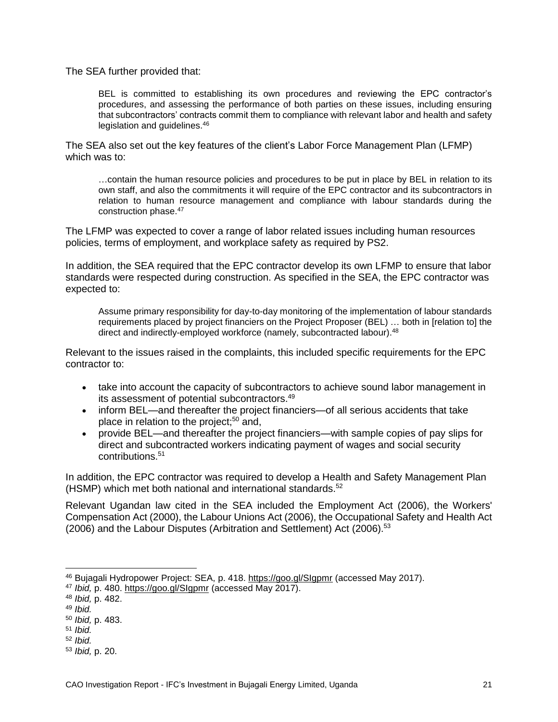The SEA further provided that:

BEL is committed to establishing its own procedures and reviewing the EPC contractor's procedures, and assessing the performance of both parties on these issues, including ensuring that subcontractors' contracts commit them to compliance with relevant labor and health and safety legislation and guidelines.<sup>46</sup>

The SEA also set out the key features of the client's Labor Force Management Plan (LFMP) which was to:

…contain the human resource policies and procedures to be put in place by BEL in relation to its own staff, and also the commitments it will require of the EPC contractor and its subcontractors in relation to human resource management and compliance with labour standards during the construction phase.<sup>47</sup>

The LFMP was expected to cover a range of labor related issues including human resources policies, terms of employment, and workplace safety as required by PS2.

In addition, the SEA required that the EPC contractor develop its own LFMP to ensure that labor standards were respected during construction. As specified in the SEA, the EPC contractor was expected to:

Assume primary responsibility for day-to-day monitoring of the implementation of labour standards requirements placed by project financiers on the Project Proposer (BEL) … both in [relation to] the direct and indirectly-employed workforce (namely, subcontracted labour).<sup>48</sup>

Relevant to the issues raised in the complaints, this included specific requirements for the EPC contractor to:

- take into account the capacity of subcontractors to achieve sound labor management in its assessment of potential subcontractors.<sup>49</sup>
- inform BEL—and thereafter the project financiers—of all serious accidents that take place in relation to the project;<sup>50</sup> and,
- provide BEL—and thereafter the project financiers—with sample copies of pay slips for direct and subcontracted workers indicating payment of wages and social security contributions.<sup>51</sup>

In addition, the EPC contractor was required to develop a Health and Safety Management Plan (HSMP) which met both national and international standards.<sup>52</sup>

Relevant Ugandan law cited in the SEA included the Employment Act (2006), the Workers' Compensation Act (2000), the Labour Unions Act (2006), the Occupational Safety and Health Act (2006) and the Labour Disputes (Arbitration and Settlement) Act (2006). 53

- <sup>51</sup> *Ibid.*
- <sup>52</sup> *Ibid.*

<sup>46</sup> Bujagali Hydropower Project: SEA, p. 418.<https://goo.gl/SIgpmr> (accessed May 2017).

<sup>47</sup> *Ibid,* p. 480. <https://goo.gl/SIgpmr> (accessed May 2017).

<sup>48</sup> *Ibid,* p. 482.

<sup>49</sup> *Ibid.*

<sup>50</sup> *Ibid,* p. 483.

<sup>53</sup> *Ibid,* p. 20.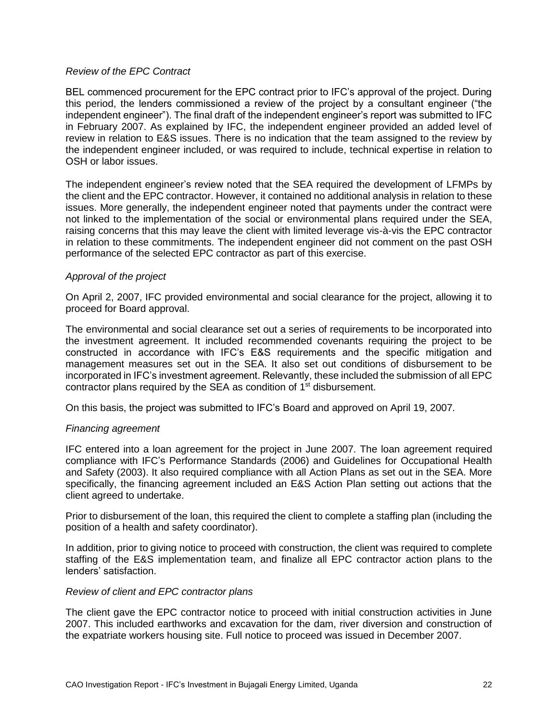#### *Review of the EPC Contract*

BEL commenced procurement for the EPC contract prior to IFC's approval of the project. During this period, the lenders commissioned a review of the project by a consultant engineer ("the independent engineer"). The final draft of the independent engineer's report was submitted to IFC in February 2007. As explained by IFC, the independent engineer provided an added level of review in relation to E&S issues. There is no indication that the team assigned to the review by the independent engineer included, or was required to include, technical expertise in relation to OSH or labor issues.

The independent engineer's review noted that the SEA required the development of LFMPs by the client and the EPC contractor. However, it contained no additional analysis in relation to these issues. More generally, the independent engineer noted that payments under the contract were not linked to the implementation of the social or environmental plans required under the SEA, raising concerns that this may leave the client with limited leverage vis-à-vis the EPC contractor in relation to these commitments. The independent engineer did not comment on the past OSH performance of the selected EPC contractor as part of this exercise.

#### *Approval of the project*

On April 2, 2007, IFC provided environmental and social clearance for the project, allowing it to proceed for Board approval.

The environmental and social clearance set out a series of requirements to be incorporated into the investment agreement. It included recommended covenants requiring the project to be constructed in accordance with IFC's E&S requirements and the specific mitigation and management measures set out in the SEA. It also set out conditions of disbursement to be incorporated in IFC's investment agreement. Relevantly, these included the submission of all EPC contractor plans required by the SEA as condition of 1<sup>st</sup> disbursement.

On this basis, the project was submitted to IFC's Board and approved on April 19, 2007.

#### *Financing agreement*

IFC entered into a loan agreement for the project in June 2007. The loan agreement required compliance with IFC's Performance Standards (2006) and Guidelines for Occupational Health and Safety (2003). It also required compliance with all Action Plans as set out in the SEA. More specifically, the financing agreement included an E&S Action Plan setting out actions that the client agreed to undertake.

Prior to disbursement of the loan, this required the client to complete a staffing plan (including the position of a health and safety coordinator).

In addition, prior to giving notice to proceed with construction, the client was required to complete staffing of the E&S implementation team, and finalize all EPC contractor action plans to the lenders' satisfaction.

#### *Review of client and EPC contractor plans*

The client gave the EPC contractor notice to proceed with initial construction activities in June 2007. This included earthworks and excavation for the dam, river diversion and construction of the expatriate workers housing site. Full notice to proceed was issued in December 2007.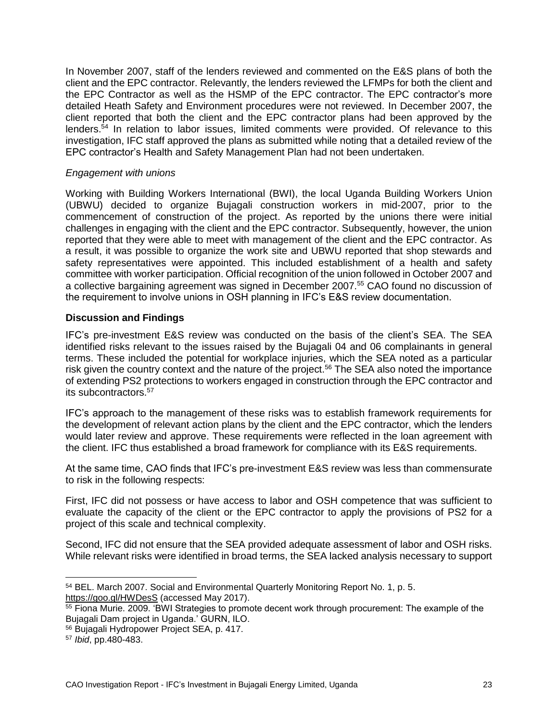In November 2007, staff of the lenders reviewed and commented on the E&S plans of both the client and the EPC contractor. Relevantly, the lenders reviewed the LFMPs for both the client and the EPC Contractor as well as the HSMP of the EPC contractor. The EPC contractor's more detailed Heath Safety and Environment procedures were not reviewed. In December 2007, the client reported that both the client and the EPC contractor plans had been approved by the lenders.<sup>54</sup> In relation to labor issues, limited comments were provided. Of relevance to this investigation, IFC staff approved the plans as submitted while noting that a detailed review of the EPC contractor's Health and Safety Management Plan had not been undertaken.

#### *Engagement with unions*

Working with Building Workers International (BWI), the local Uganda Building Workers Union (UBWU) decided to organize Bujagali construction workers in mid-2007, prior to the commencement of construction of the project. As reported by the unions there were initial challenges in engaging with the client and the EPC contractor. Subsequently, however, the union reported that they were able to meet with management of the client and the EPC contractor. As a result, it was possible to organize the work site and UBWU reported that shop stewards and safety representatives were appointed. This included establishment of a health and safety committee with worker participation. Official recognition of the union followed in October 2007 and a collective bargaining agreement was signed in December 2007.<sup>55</sup> CAO found no discussion of the requirement to involve unions in OSH planning in IFC's E&S review documentation.

#### **Discussion and Findings**

IFC's pre-investment E&S review was conducted on the basis of the client's SEA. The SEA identified risks relevant to the issues raised by the Bujagali 04 and 06 complainants in general terms. These included the potential for workplace injuries, which the SEA noted as a particular risk given the country context and the nature of the project.<sup>56</sup> The SEA also noted the importance of extending PS2 protections to workers engaged in construction through the EPC contractor and its subcontractors.<sup>57</sup>

IFC's approach to the management of these risks was to establish framework requirements for the development of relevant action plans by the client and the EPC contractor, which the lenders would later review and approve. These requirements were reflected in the loan agreement with the client. IFC thus established a broad framework for compliance with its E&S requirements.

At the same time, CAO finds that IFC's pre-investment E&S review was less than commensurate to risk in the following respects:

First, IFC did not possess or have access to labor and OSH competence that was sufficient to evaluate the capacity of the client or the EPC contractor to apply the provisions of PS2 for a project of this scale and technical complexity.

Second, IFC did not ensure that the SEA provided adequate assessment of labor and OSH risks. While relevant risks were identified in broad terms, the SEA lacked analysis necessary to support

<sup>54</sup> BEL. March 2007. Social and Environmental Quarterly Monitoring Report No. 1, p. 5. <https://goo.gl/HWDesS> (accessed May 2017).

<sup>55</sup> Fiona Murie. 2009. 'BWI Strategies to promote decent work through procurement: The example of the Bujagali Dam project in Uganda.' GURN, ILO.

<sup>56</sup> Bujagali Hydropower Project SEA, p. 417.

<sup>57</sup> *Ibid*, pp.480-483.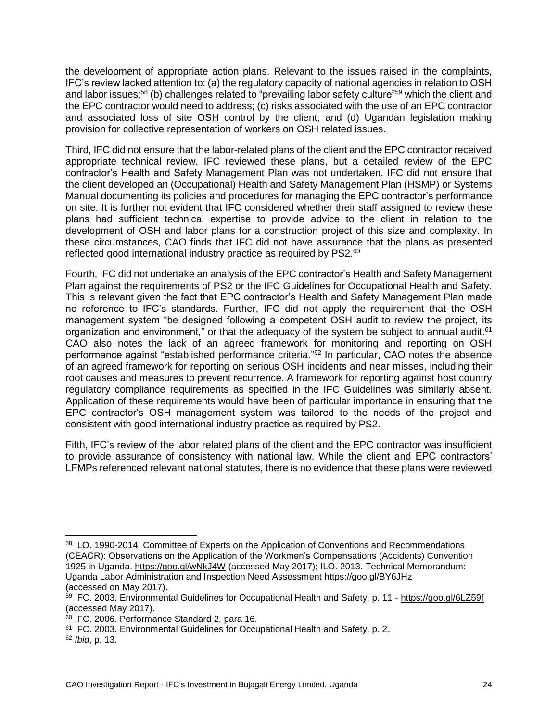the development of appropriate action plans. Relevant to the issues raised in the complaints, IFC's review lacked attention to: (a) the regulatory capacity of national agencies in relation to OSH and labor issues;<sup>58</sup> (b) challenges related to "prevailing labor safety culture"<sup>59</sup> which the client and the EPC contractor would need to address; (c) risks associated with the use of an EPC contractor and associated loss of site OSH control by the client; and (d) Ugandan legislation making provision for collective representation of workers on OSH related issues.

Third, IFC did not ensure that the labor-related plans of the client and the EPC contractor received appropriate technical review. IFC reviewed these plans, but a detailed review of the EPC contractor's Health and Safety Management Plan was not undertaken. IFC did not ensure that the client developed an (Occupational) Health and Safety Management Plan (HSMP) or Systems Manual documenting its policies and procedures for managing the EPC contractor's performance on site. It is further not evident that IFC considered whether their staff assigned to review these plans had sufficient technical expertise to provide advice to the client in relation to the development of OSH and labor plans for a construction project of this size and complexity. In these circumstances, CAO finds that IFC did not have assurance that the plans as presented reflected good international industry practice as required by PS2.<sup>60</sup>

Fourth, IFC did not undertake an analysis of the EPC contractor's Health and Safety Management Plan against the requirements of PS2 or the IFC Guidelines for Occupational Health and Safety. This is relevant given the fact that EPC contractor's Health and Safety Management Plan made no reference to IFC's standards. Further, IFC did not apply the requirement that the OSH management system "be designed following a competent OSH audit to review the project, its organization and environment," or that the adequacy of the system be subject to annual audit.<sup>61</sup> CAO also notes the lack of an agreed framework for monitoring and reporting on OSH performance against "established performance criteria." <sup>62</sup> In particular, CAO notes the absence of an agreed framework for reporting on serious OSH incidents and near misses, including their root causes and measures to prevent recurrence. A framework for reporting against host country regulatory compliance requirements as specified in the IFC Guidelines was similarly absent. Application of these requirements would have been of particular importance in ensuring that the EPC contractor's OSH management system was tailored to the needs of the project and consistent with good international industry practice as required by PS2.

Fifth, IFC's review of the labor related plans of the client and the EPC contractor was insufficient to provide assurance of consistency with national law. While the client and EPC contractors' LFMPs referenced relevant national statutes, there is no evidence that these plans were reviewed

<sup>58</sup> ILO. 1990-2014. Committee of Experts on the Application of Conventions and Recommendations (CEACR): Observations on the Application of the Workmen's Compensations (Accidents) Convention 1925 in Uganda. <https://goo.gl/wNkJ4W> (accessed May 2017); ILO. 2013. Technical Memorandum: Uganda Labor Administration and Inspection Need Assessment<https://goo.gl/BY6JHz> (accessed on May 2017).

<sup>59</sup> IFC. 2003. Environmental Guidelines for Occupational Health and Safety, p. 11 - <https://goo.gl/6LZ59f> (accessed May 2017).

<sup>60</sup> IFC. 2006. Performance Standard 2, para 16.

<sup>61</sup> IFC. 2003. Environmental Guidelines for Occupational Health and Safety, p. 2.

<sup>62</sup> *Ibid*, p. 13.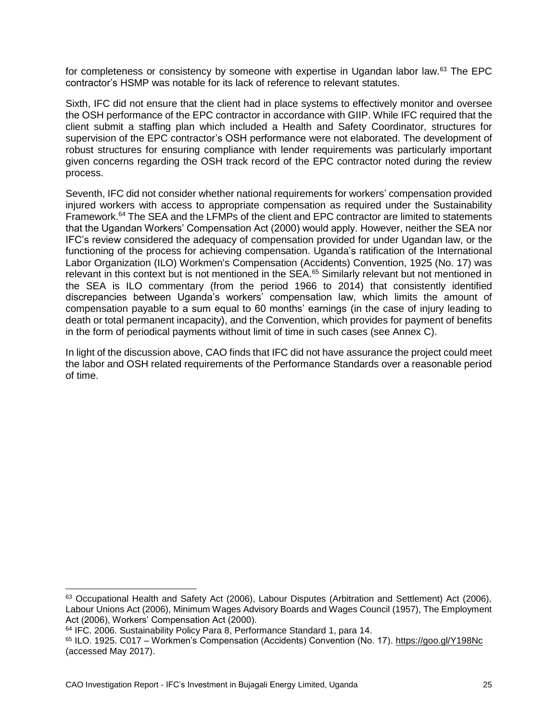for completeness or consistency by someone with expertise in Ugandan labor law.<sup>63</sup> The EPC contractor's HSMP was notable for its lack of reference to relevant statutes.

Sixth, IFC did not ensure that the client had in place systems to effectively monitor and oversee the OSH performance of the EPC contractor in accordance with GIIP. While IFC required that the client submit a staffing plan which included a Health and Safety Coordinator, structures for supervision of the EPC contractor's OSH performance were not elaborated. The development of robust structures for ensuring compliance with lender requirements was particularly important given concerns regarding the OSH track record of the EPC contractor noted during the review process.

Seventh, IFC did not consider whether national requirements for workers' compensation provided injured workers with access to appropriate compensation as required under the Sustainability Framework.<sup>64</sup> The SEA and the LFMPs of the client and EPC contractor are limited to statements that the Ugandan Workers' Compensation Act (2000) would apply. However, neither the SEA nor IFC's review considered the adequacy of compensation provided for under Ugandan law, or the functioning of the process for achieving compensation. Uganda's ratification of the International Labor Organization (ILO) [Workmen's Compensation \(Accidents\) Convention, 1925 \(No.](http://www.ilo.org/dyn/normlex/en/f?p=NORMLEXPUB:12100:0::NO:12100:P12100_INSTRUMENT_ID:312162:NO) 17) was relevant in this context but is not mentioned in the SEA.<sup>65</sup> Similarly relevant but not mentioned in the SEA is ILO commentary (from the period 1966 to 2014) that consistently identified discrepancies between Uganda's workers' compensation law, which limits the amount of compensation payable to a sum equal to 60 months' earnings (in the case of injury leading to death or total permanent incapacity), and the Convention, which provides for payment of benefits in the form of periodical payments without limit of time in such cases (see Annex C).

In light of the discussion above, CAO finds that IFC did not have assurance the project could meet the labor and OSH related requirements of the Performance Standards over a reasonable period of time.

<sup>63</sup> Occupational Health and Safety Act (2006), Labour Disputes (Arbitration and Settlement) Act (2006), Labour Unions Act (2006), Minimum Wages Advisory Boards and Wages Council (1957), The Employment Act (2006), Workers' Compensation Act (2000).

<sup>64</sup> IFC. 2006. Sustainability Policy Para 8, Performance Standard 1, para 14.

<sup>65</sup> ILO. 1925. C017 – Workmen's Compensation (Accidents) Convention (No. 17). <https://goo.gl/Y198Nc> (accessed May 2017).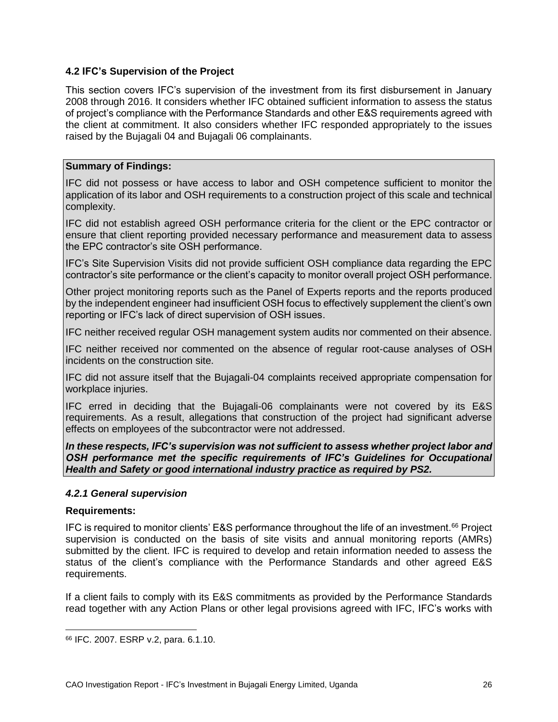#### <span id="page-25-0"></span>**4.2 IFC's Supervision of the Project**

This section covers IFC's supervision of the investment from its first disbursement in January 2008 through 2016. It considers whether IFC obtained sufficient information to assess the status of project's compliance with the Performance Standards and other E&S requirements agreed with the client at commitment. It also considers whether IFC responded appropriately to the issues raised by the Bujagali 04 and Bujagali 06 complainants.

#### **Summary of Findings:**

IFC did not possess or have access to labor and OSH competence sufficient to monitor the application of its labor and OSH requirements to a construction project of this scale and technical complexity.

IFC did not establish agreed OSH performance criteria for the client or the EPC contractor or ensure that client reporting provided necessary performance and measurement data to assess the EPC contractor's site OSH performance.

IFC's Site Supervision Visits did not provide sufficient OSH compliance data regarding the EPC contractor's site performance or the client's capacity to monitor overall project OSH performance.

Other project monitoring reports such as the Panel of Experts reports and the reports produced by the independent engineer had insufficient OSH focus to effectively supplement the client's own reporting or IFC's lack of direct supervision of OSH issues.

IFC neither received regular OSH management system audits nor commented on their absence.

IFC neither received nor commented on the absence of regular root-cause analyses of OSH incidents on the construction site.

IFC did not assure itself that the Bujagali-04 complaints received appropriate compensation for workplace injuries.

IFC erred in deciding that the Bujagali-06 complainants were not covered by its E&S requirements. As a result, allegations that construction of the project had significant adverse effects on employees of the subcontractor were not addressed.

*In these respects, IFC's supervision was not sufficient to assess whether project labor and OSH performance met the specific requirements of IFC's Guidelines for Occupational Health and Safety or good international industry practice as required by PS2.* 

#### *4.2.1 General supervision*

#### **Requirements:**

IFC is required to monitor clients' E&S performance throughout the life of an investment.<sup>66</sup> Project supervision is conducted on the basis of site visits and annual monitoring reports (AMRs) submitted by the client. IFC is required to develop and retain information needed to assess the status of the client's compliance with the Performance Standards and other agreed E&S requirements.

If a client fails to comply with its E&S commitments as provided by the Performance Standards read together with any Action Plans or other legal provisions agreed with IFC, IFC's works with

<sup>66</sup> IFC. 2007. ESRP v.2, para. 6.1.10.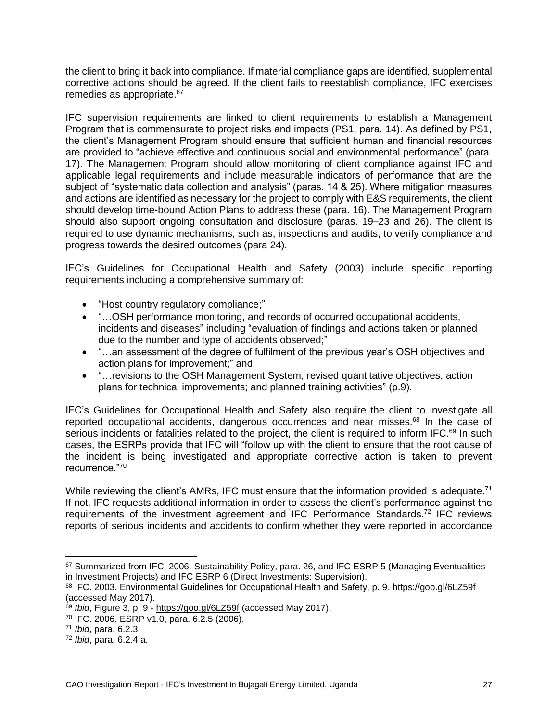the client to bring it back into compliance. If material compliance gaps are identified, supplemental corrective actions should be agreed. If the client fails to reestablish compliance, IFC exercises remedies as appropriate.<sup>67</sup>

IFC supervision requirements are linked to client requirements to establish a Management Program that is commensurate to project risks and impacts (PS1, para. 14). As defined by PS1, the client's Management Program should ensure that sufficient human and financial resources are provided to "achieve effective and continuous social and environmental performance" (para. 17). The Management Program should allow monitoring of client compliance against IFC and applicable legal requirements and include measurable indicators of performance that are the subject of "systematic data collection and analysis" (paras. 14 & 25). Where mitigation measures and actions are identified as necessary for the project to comply with E&S requirements, the client should develop time-bound Action Plans to address these (para. 16). The Management Program should also support ongoing consultation and disclosure (paras. 19–23 and 26). The client is required to use dynamic mechanisms, such as, inspections and audits, to verify compliance and progress towards the desired outcomes (para 24).

IFC's Guidelines for Occupational Health and Safety (2003) include specific reporting requirements including a comprehensive summary of:

- "Host country regulatory compliance;"
- "...OSH performance monitoring, and records of occurred occupational accidents, incidents and diseases" including "evaluation of findings and actions taken or planned due to the number and type of accidents observed;"
- "...an assessment of the degree of fulfilment of the previous year's OSH objectives and action plans for improvement;" and
- "…revisions to the OSH Management System; revised quantitative objectives; action plans for technical improvements; and planned training activities" (p.9).

IFC's Guidelines for Occupational Health and Safety also require the client to investigate all reported occupational accidents, dangerous occurrences and near misses.<sup>68</sup> In the case of serious incidents or fatalities related to the project, the client is required to inform IFC.<sup>69</sup> In such cases, the ESRPs provide that IFC will "follow up with the client to ensure that the root cause of the incident is being investigated and appropriate corrective action is taken to prevent recurrence."<sup>70</sup>

While reviewing the client's AMRs, IFC must ensure that the information provided is adequate.<sup>71</sup> If not, IFC requests additional information in order to assess the client's performance against the requirements of the investment agreement and IFC Performance Standards.<sup>72</sup> IFC reviews reports of serious incidents and accidents to confirm whether they were reported in accordance

<sup>67</sup> Summarized from IFC. 2006. Sustainability Policy, para. 26, and IFC ESRP 5 (Managing Eventualities in Investment Projects) and IFC ESRP 6 (Direct Investments: Supervision).

<sup>68</sup> IFC. 2003. Environmental Guidelines for Occupational Health and Safety, p. 9. <https://goo.gl/6LZ59f> (accessed May 2017).

<sup>69</sup> *Ibid*, Figure 3, p. 9 - <https://goo.gl/6LZ59f> (accessed May 2017).

<sup>70</sup> IFC. 2006. ESRP v1.0, para. 6.2.5 (2006).

<sup>71</sup> *Ibid*, para. 6.2.3.

<sup>72</sup> *Ibid*, para. 6.2.4.a.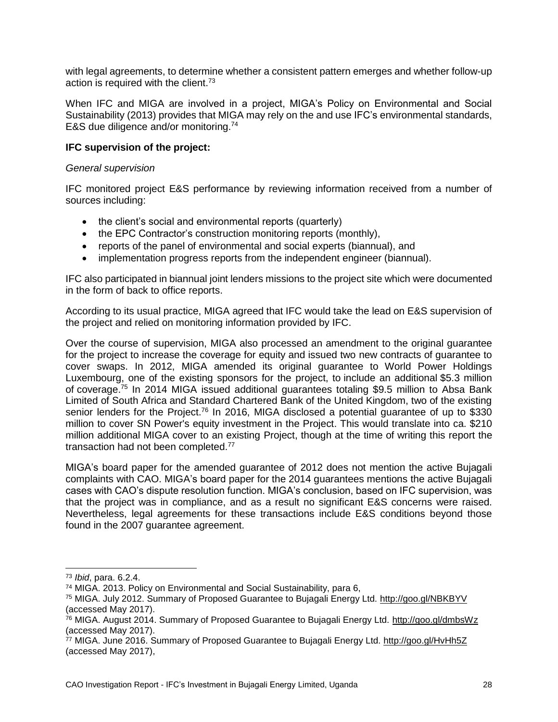with legal agreements, to determine whether a consistent pattern emerges and whether follow-up action is required with the client.<sup>73</sup>

When IFC and MIGA are involved in a project, MIGA's Policy on Environmental and Social Sustainability (2013) provides that MIGA may rely on the and use IFC's environmental standards, E&S due diligence and/or monitoring. 74

#### **IFC supervision of the project:**

#### *General supervision*

IFC monitored project E&S performance by reviewing information received from a number of sources including:

- the client's social and environmental reports (quarterly)
- the EPC Contractor's construction monitoring reports (monthly),
- reports of the panel of environmental and social experts (biannual), and
- implementation progress reports from the independent engineer (biannual).

IFC also participated in biannual joint lenders missions to the project site which were documented in the form of back to office reports.

According to its usual practice, MIGA agreed that IFC would take the lead on E&S supervision of the project and relied on monitoring information provided by IFC.

Over the course of supervision, MIGA also processed an amendment to the original guarantee for the project to increase the coverage for equity and issued two new contracts of guarantee to cover swaps. In 2012, MIGA amended its original guarantee to World Power Holdings Luxembourg, one of the existing sponsors for the project, to include an additional \$5.3 million of coverage.<sup>75</sup> In 2014 MIGA issued additional guarantees totaling \$9.5 million to Absa Bank Limited of South Africa and Standard Chartered Bank of the United Kingdom, two of the existing senior lenders for the Project.<sup>76</sup> In 2016, MIGA disclosed a potential quarantee of up to \$330 million to cover SN Power's equity investment in the Project. This would translate into ca. \$210 million additional MIGA cover to an existing Project, though at the time of writing this report the transaction had not been completed.<sup>77</sup>

MIGA's board paper for the amended guarantee of 2012 does not mention the active Bujagali complaints with CAO. MIGA's board paper for the 2014 guarantees mentions the active Bujagali cases with CAO's dispute resolution function. MIGA's conclusion, based on IFC supervision, was that the project was in compliance, and as a result no significant E&S concerns were raised. Nevertheless, legal agreements for these transactions include E&S conditions beyond those found in the 2007 guarantee agreement.

<sup>73</sup> *Ibid*, para. 6.2.4.

<sup>74</sup> MIGA. 2013. Policy on Environmental and Social Sustainability, para 6,

<sup>75</sup> MIGA. July 2012. Summary of Proposed Guarantee to Bujagali Energy Ltd.<http://goo.gl/NBKBYV> (accessed May 2017).

<sup>76</sup> MIGA. August 2014. Summary of Proposed Guarantee to Bujagali Energy Ltd.<http://goo.gl/dmbsWz> (accessed May 2017).

<sup>&</sup>lt;sup>77</sup> MIGA. June 2016. Summary of Proposed Guarantee to Bujagali Energy Ltd.<http://goo.gl/HvHh5Z> (accessed May 2017),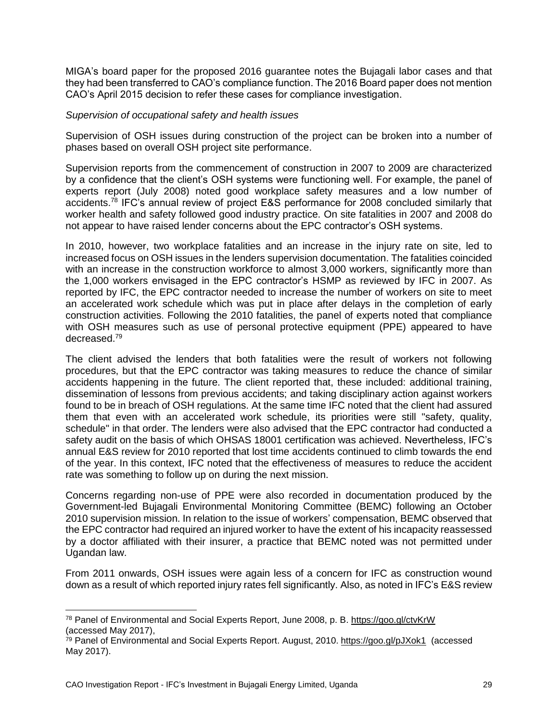MIGA's board paper for the proposed 2016 guarantee notes the Bujagali labor cases and that they had been transferred to CAO's compliance function. The 2016 Board paper does not mention CAO's April 2015 decision to refer these cases for compliance investigation.

#### *Supervision of occupational safety and health issues*

Supervision of OSH issues during construction of the project can be broken into a number of phases based on overall OSH project site performance.

Supervision reports from the commencement of construction in 2007 to 2009 are characterized by a confidence that the client's OSH systems were functioning well. For example, the panel of experts report (July 2008) noted good workplace safety measures and a low number of accidents.<sup>78</sup> IFC's annual review of project E&S performance for 2008 concluded similarly that worker health and safety followed good industry practice. On site fatalities in 2007 and 2008 do not appear to have raised lender concerns about the EPC contractor's OSH systems.

In 2010, however, two workplace fatalities and an increase in the injury rate on site, led to increased focus on OSH issues in the lenders supervision documentation. The fatalities coincided with an increase in the construction workforce to almost 3,000 workers, significantly more than the 1,000 workers envisaged in the EPC contractor's HSMP as reviewed by IFC in 2007. As reported by IFC, the EPC contractor needed to increase the number of workers on site to meet an accelerated work schedule which was put in place after delays in the completion of early construction activities. Following the 2010 fatalities, the panel of experts noted that compliance with OSH measures such as use of personal protective equipment (PPE) appeared to have decreased.<sup>79</sup>

The client advised the lenders that both fatalities were the result of workers not following procedures, but that the EPC contractor was taking measures to reduce the chance of similar accidents happening in the future. The client reported that, these included: additional training, dissemination of lessons from previous accidents; and taking disciplinary action against workers found to be in breach of OSH regulations. At the same time IFC noted that the client had assured them that even with an accelerated work schedule, its priorities were still "safety, quality, schedule" in that order. The lenders were also advised that the EPC contractor had conducted a safety audit on the basis of which OHSAS 18001 certification was achieved. Nevertheless, IFC's annual E&S review for 2010 reported that lost time accidents continued to climb towards the end of the year. In this context, IFC noted that the effectiveness of measures to reduce the accident rate was something to follow up on during the next mission.

Concerns regarding non-use of PPE were also recorded in documentation produced by the Government-led Bujagali Environmental Monitoring Committee (BEMC) following an October 2010 supervision mission. In relation to the issue of workers' compensation, BEMC observed that the EPC contractor had required an injured worker to have the extent of his incapacity reassessed by a doctor affiliated with their insurer, a practice that BEMC noted was not permitted under Ugandan law.

From 2011 onwards, OSH issues were again less of a concern for IFC as construction wound down as a result of which reported injury rates fell significantly. Also, as noted in IFC's E&S review

<sup>78</sup> Panel of Environmental and Social Experts Report, June 2008, p. B. <https://goo.gl/ctvKrW> (accessed May 2017),

<sup>79</sup> Panel of Environmental and Social Experts Report. August, 2010. <https://goo.gl/pJXok1> (accessed May 2017).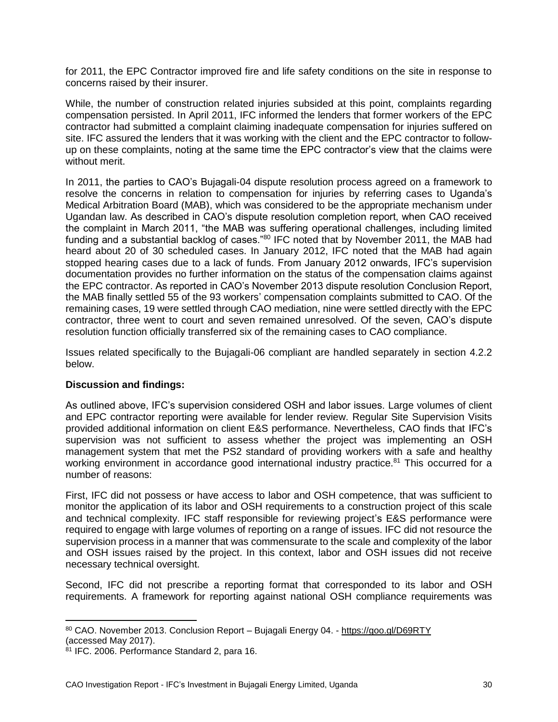for 2011, the EPC Contractor improved fire and life safety conditions on the site in response to concerns raised by their insurer.

While, the number of construction related injuries subsided at this point, complaints regarding compensation persisted. In April 2011, IFC informed the lenders that former workers of the EPC contractor had submitted a complaint claiming inadequate compensation for injuries suffered on site. IFC assured the lenders that it was working with the client and the EPC contractor to followup on these complaints, noting at the same time the EPC contractor's view that the claims were without merit.

In 2011, the parties to CAO's Bujagali-04 dispute resolution process agreed on a framework to resolve the concerns in relation to compensation for injuries by referring cases to Uganda's Medical Arbitration Board (MAB), which was considered to be the appropriate mechanism under Ugandan law. As described in CAO's dispute resolution completion report, when CAO received the complaint in March 2011, "the MAB was suffering operational challenges, including limited funding and a substantial backlog of cases."<sup>80</sup> IFC noted that by November 2011, the MAB had heard about 20 of 30 scheduled cases. In January 2012, IFC noted that the MAB had again stopped hearing cases due to a lack of funds. From January 2012 onwards, IFC's supervision documentation provides no further information on the status of the compensation claims against the EPC contractor. As reported in CAO's November 2013 dispute resolution Conclusion Report, the MAB finally settled 55 of the 93 workers' compensation complaints submitted to CAO. Of the remaining cases, 19 were settled through CAO mediation, nine were settled directly with the EPC contractor, three went to court and seven remained unresolved. Of the seven, CAO's dispute resolution function officially transferred six of the remaining cases to CAO compliance.

Issues related specifically to the Bujagali-06 compliant are handled separately in section 4.2.2 below.

#### **Discussion and findings:**

As outlined above, IFC's supervision considered OSH and labor issues. Large volumes of client and EPC contractor reporting were available for lender review. Regular Site Supervision Visits provided additional information on client E&S performance. Nevertheless, CAO finds that IFC's supervision was not sufficient to assess whether the project was implementing an OSH management system that met the PS2 standard of providing workers with a safe and healthy working environment in accordance good international industry practice.<sup>81</sup> This occurred for a number of reasons:

First, IFC did not possess or have access to labor and OSH competence, that was sufficient to monitor the application of its labor and OSH requirements to a construction project of this scale and technical complexity. IFC staff responsible for reviewing project's E&S performance were required to engage with large volumes of reporting on a range of issues. IFC did not resource the supervision process in a manner that was commensurate to the scale and complexity of the labor and OSH issues raised by the project. In this context, labor and OSH issues did not receive necessary technical oversight.

Second, IFC did not prescribe a reporting format that corresponded to its labor and OSH requirements. A framework for reporting against national OSH compliance requirements was

 $\overline{a}$ <sup>80</sup> CAO. November 2013. Conclusion Report – Bujagali Energy 04. - <https://goo.gl/D69RTY> (accessed May 2017).

<sup>81</sup> IFC. 2006. Performance Standard 2, para 16.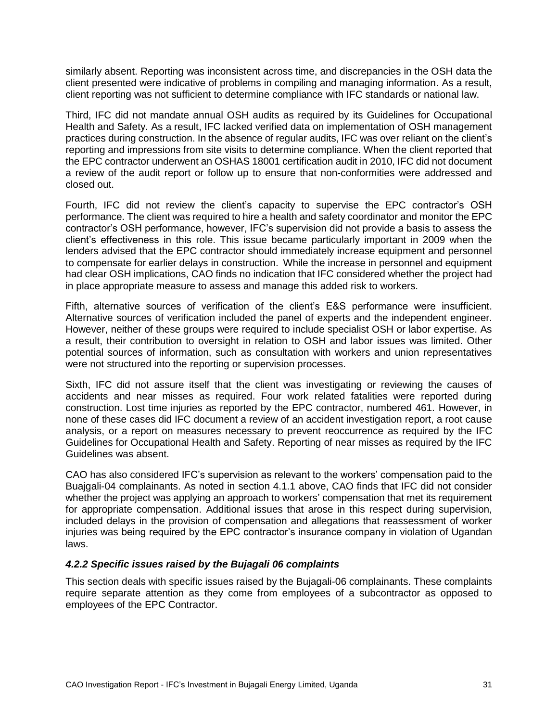similarly absent. Reporting was inconsistent across time, and discrepancies in the OSH data the client presented were indicative of problems in compiling and managing information. As a result, client reporting was not sufficient to determine compliance with IFC standards or national law.

Third, IFC did not mandate annual OSH audits as required by its Guidelines for Occupational Health and Safety*.* As a result, IFC lacked verified data on implementation of OSH management practices during construction. In the absence of regular audits, IFC was over reliant on the client's reporting and impressions from site visits to determine compliance. When the client reported that the EPC contractor underwent an OSHAS 18001 certification audit in 2010, IFC did not document a review of the audit report or follow up to ensure that non-conformities were addressed and closed out.

Fourth, IFC did not review the client's capacity to supervise the EPC contractor's OSH performance. The client was required to hire a health and safety coordinator and monitor the EPC contractor's OSH performance, however, IFC's supervision did not provide a basis to assess the client's effectiveness in this role. This issue became particularly important in 2009 when the lenders advised that the EPC contractor should immediately increase equipment and personnel to compensate for earlier delays in construction. While the increase in personnel and equipment had clear OSH implications, CAO finds no indication that IFC considered whether the project had in place appropriate measure to assess and manage this added risk to workers.

Fifth, alternative sources of verification of the client's E&S performance were insufficient. Alternative sources of verification included the panel of experts and the independent engineer. However, neither of these groups were required to include specialist OSH or labor expertise. As a result, their contribution to oversight in relation to OSH and labor issues was limited. Other potential sources of information, such as consultation with workers and union representatives were not structured into the reporting or supervision processes.

Sixth, IFC did not assure itself that the client was investigating or reviewing the causes of accidents and near misses as required. Four work related fatalities were reported during construction. Lost time injuries as reported by the EPC contractor, numbered 461. However, in none of these cases did IFC document a review of an accident investigation report, a root cause analysis, or a report on measures necessary to prevent reoccurrence as required by the IFC Guidelines for Occupational Health and Safety. Reporting of near misses as required by the IFC Guidelines was absent.

CAO has also considered IFC's supervision as relevant to the workers' compensation paid to the Buajgali-04 complainants. As noted in section 4.1.1 above, CAO finds that IFC did not consider whether the project was applying an approach to workers' compensation that met its requirement for appropriate compensation. Additional issues that arose in this respect during supervision, included delays in the provision of compensation and allegations that reassessment of worker injuries was being required by the EPC contractor's insurance company in violation of Ugandan laws.

#### *4.2.2 Specific issues raised by the Bujagali 06 complaints*

This section deals with specific issues raised by the Bujagali-06 complainants. These complaints require separate attention as they come from employees of a subcontractor as opposed to employees of the EPC Contractor.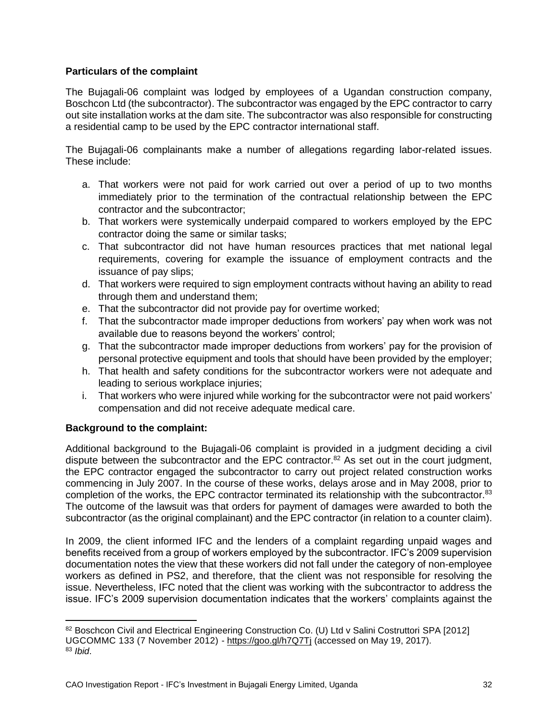#### **Particulars of the complaint**

The Bujagali-06 complaint was lodged by employees of a Ugandan construction company, Boschcon Ltd (the subcontractor). The subcontractor was engaged by the EPC contractor to carry out site installation works at the dam site. The subcontractor was also responsible for constructing a residential camp to be used by the EPC contractor international staff.

The Bujagali-06 complainants make a number of allegations regarding labor-related issues. These include:

- a. That workers were not paid for work carried out over a period of up to two months immediately prior to the termination of the contractual relationship between the EPC contractor and the subcontractor;
- b. That workers were systemically underpaid compared to workers employed by the EPC contractor doing the same or similar tasks;
- c. That subcontractor did not have human resources practices that met national legal requirements, covering for example the issuance of employment contracts and the issuance of pay slips;
- d. That workers were required to sign employment contracts without having an ability to read through them and understand them;
- e. That the subcontractor did not provide pay for overtime worked;
- f. That the subcontractor made improper deductions from workers' pay when work was not available due to reasons beyond the workers' control;
- g. That the subcontractor made improper deductions from workers' pay for the provision of personal protective equipment and tools that should have been provided by the employer;
- h. That health and safety conditions for the subcontractor workers were not adequate and leading to serious workplace injuries;
- i. That workers who were injured while working for the subcontractor were not paid workers' compensation and did not receive adequate medical care.

#### **Background to the complaint:**

 $\overline{a}$ 

Additional background to the Bujagali-06 complaint is provided in a judgment deciding a civil dispute between the subcontractor and the EPC contractor.<sup>82</sup> As set out in the court judgment, the EPC contractor engaged the subcontractor to carry out project related construction works commencing in July 2007. In the course of these works, delays arose and in May 2008, prior to completion of the works, the EPC contractor terminated its relationship with the subcontractor.<sup>83</sup> The outcome of the lawsuit was that orders for payment of damages were awarded to both the subcontractor (as the original complainant) and the EPC contractor (in relation to a counter claim).

In 2009, the client informed IFC and the lenders of a complaint regarding unpaid wages and benefits received from a group of workers employed by the subcontractor. IFC's 2009 supervision documentation notes the view that these workers did not fall under the category of non-employee workers as defined in PS2, and therefore, that the client was not responsible for resolving the issue. Nevertheless, IFC noted that the client was working with the subcontractor to address the issue. IFC's 2009 supervision documentation indicates that the workers' complaints against the

<sup>82</sup> Boschcon Civil and Electrical Engineering Construction Co. (U) Ltd v Salini Costruttori SPA [2012] UGCOMMC 133 (7 November 2012) - <https://goo.gl/h7Q7Tj> (accessed on May 19, 2017). <sup>83</sup> *Ibid*.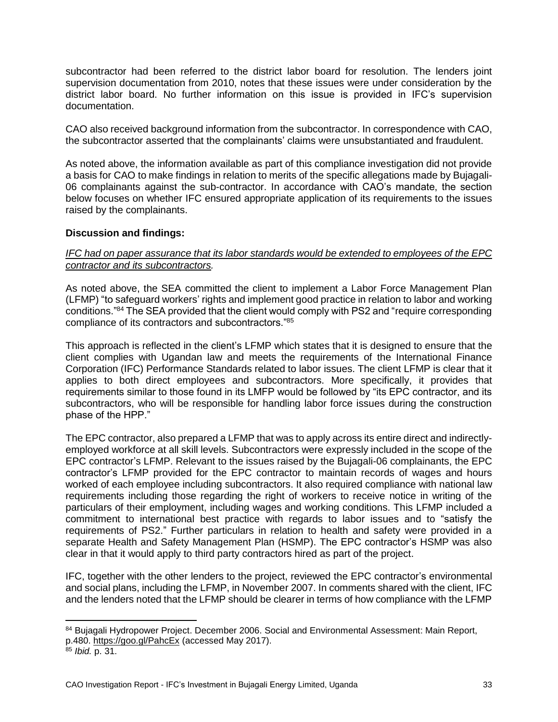subcontractor had been referred to the district labor board for resolution. The lenders joint supervision documentation from 2010, notes that these issues were under consideration by the district labor board. No further information on this issue is provided in IFC's supervision documentation.

CAO also received background information from the subcontractor. In correspondence with CAO, the subcontractor asserted that the complainants' claims were unsubstantiated and fraudulent.

As noted above, the information available as part of this compliance investigation did not provide a basis for CAO to make findings in relation to merits of the specific allegations made by Bujagali-06 complainants against the sub-contractor. In accordance with CAO's mandate, the section below focuses on whether IFC ensured appropriate application of its requirements to the issues raised by the complainants.

#### **Discussion and findings:**

#### *IFC had on paper assurance that its labor standards would be extended to employees of the EPC contractor and its subcontractors.*

As noted above, the SEA committed the client to implement a Labor Force Management Plan (LFMP) "to safeguard workers' rights and implement good practice in relation to labor and working conditions."<sup>84</sup> The SEA provided that the client would comply with PS2 and "require corresponding compliance of its contractors and subcontractors."<sup>85</sup>

This approach is reflected in the client's LFMP which states that it is designed to ensure that the client complies with Ugandan law and meets the requirements of the International Finance Corporation (IFC) Performance Standards related to labor issues. The client LFMP is clear that it applies to both direct employees and subcontractors. More specifically, it provides that requirements similar to those found in its LMFP would be followed by "its EPC contractor, and its subcontractors, who will be responsible for handling labor force issues during the construction phase of the HPP."

The EPC contractor, also prepared a LFMP that was to apply across its entire direct and indirectlyemployed workforce at all skill levels. Subcontractors were expressly included in the scope of the EPC contractor's LFMP. Relevant to the issues raised by the Bujagali-06 complainants, the EPC contractor's LFMP provided for the EPC contractor to maintain records of wages and hours worked of each employee including subcontractors. It also required compliance with national law requirements including those regarding the right of workers to receive notice in writing of the particulars of their employment, including wages and working conditions. This LFMP included a commitment to international best practice with regards to labor issues and to "satisfy the requirements of PS2." Further particulars in relation to health and safety were provided in a separate Health and Safety Management Plan (HSMP). The EPC contractor's HSMP was also clear in that it would apply to third party contractors hired as part of the project.

IFC, together with the other lenders to the project, reviewed the EPC contractor's environmental and social plans, including the LFMP, in November 2007. In comments shared with the client, IFC and the lenders noted that the LFMP should be clearer in terms of how compliance with the LFMP

<sup>84</sup> Bujagali Hydropower Project. December 2006. Social and Environmental Assessment: Main Report, p.480. <https://goo.gl/PahcEx> (accessed May 2017).

<sup>85</sup> *Ibid.* p. 31.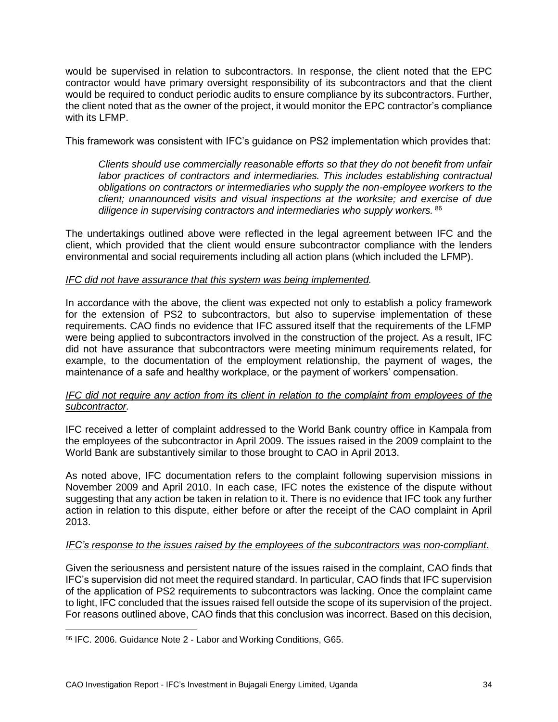would be supervised in relation to subcontractors. In response, the client noted that the EPC contractor would have primary oversight responsibility of its subcontractors and that the client would be required to conduct periodic audits to ensure compliance by its subcontractors. Further, the client noted that as the owner of the project, it would monitor the EPC contractor's compliance with its LFMP.

This framework was consistent with IFC's guidance on PS2 implementation which provides that:

*Clients should use commercially reasonable efforts so that they do not benefit from unfair labor practices of contractors and intermediaries. This includes establishing contractual obligations on contractors or intermediaries who supply the non-employee workers to the client; unannounced visits and visual inspections at the worksite; and exercise of due diligence in supervising contractors and intermediaries who supply workers.* <sup>86</sup>

The undertakings outlined above were reflected in the legal agreement between IFC and the client, which provided that the client would ensure subcontractor compliance with the lenders environmental and social requirements including all action plans (which included the LFMP).

#### *IFC did not have assurance that this system was being implemented.*

In accordance with the above, the client was expected not only to establish a policy framework for the extension of PS2 to subcontractors, but also to supervise implementation of these requirements. CAO finds no evidence that IFC assured itself that the requirements of the LFMP were being applied to subcontractors involved in the construction of the project. As a result, IFC did not have assurance that subcontractors were meeting minimum requirements related, for example, to the documentation of the employment relationship, the payment of wages, the maintenance of a safe and healthy workplace, or the payment of workers' compensation.

#### *IFC did not require any action from its client in relation to the complaint from employees of the subcontractor.*

IFC received a letter of complaint addressed to the World Bank country office in Kampala from the employees of the subcontractor in April 2009. The issues raised in the 2009 complaint to the World Bank are substantively similar to those brought to CAO in April 2013.

As noted above, IFC documentation refers to the complaint following supervision missions in November 2009 and April 2010. In each case, IFC notes the existence of the dispute without suggesting that any action be taken in relation to it. There is no evidence that IFC took any further action in relation to this dispute, either before or after the receipt of the CAO complaint in April 2013.

#### *IFC's response to the issues raised by the employees of the subcontractors was non-compliant.*

Given the seriousness and persistent nature of the issues raised in the complaint, CAO finds that IFC's supervision did not meet the required standard. In particular, CAO finds that IFC supervision of the application of PS2 requirements to subcontractors was lacking. Once the complaint came to light, IFC concluded that the issues raised fell outside the scope of its supervision of the project. For reasons outlined above, CAO finds that this conclusion was incorrect. Based on this decision,

<sup>86</sup> IFC. 2006. Guidance Note 2 - Labor and Working Conditions, G65.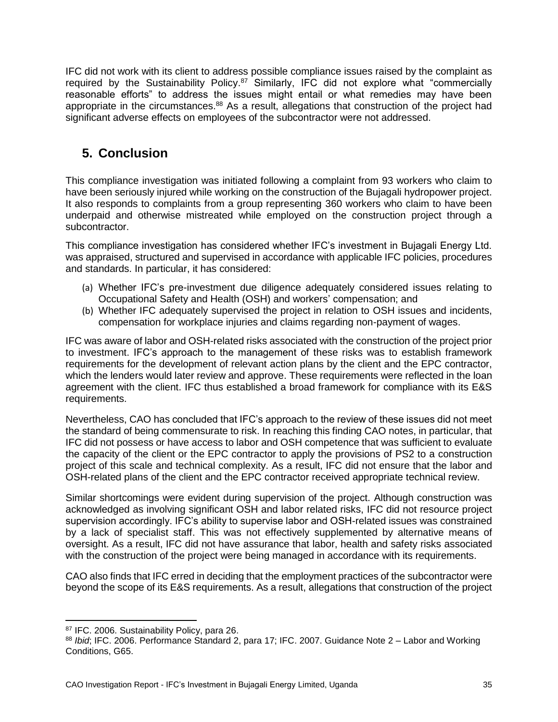IFC did not work with its client to address possible compliance issues raised by the complaint as required by the Sustainability Policy.<sup>87</sup> Similarly, IFC did not explore what "commercially reasonable efforts" to address the issues might entail or what remedies may have been appropriate in the circumstances.<sup>88</sup> As a result, allegations that construction of the project had significant adverse effects on employees of the subcontractor were not addressed.

### <span id="page-34-0"></span>**5. Conclusion**

This compliance investigation was initiated following a complaint from 93 workers who claim to have been seriously injured while working on the construction of the Bujagali hydropower project. It also responds to complaints from a group representing 360 workers who claim to have been underpaid and otherwise mistreated while employed on the construction project through a subcontractor.

This compliance investigation has considered whether IFC's investment in Bujagali Energy Ltd. was appraised, structured and supervised in accordance with applicable IFC policies, procedures and standards. In particular, it has considered:

- (a) Whether IFC's pre-investment due diligence adequately considered issues relating to Occupational Safety and Health (OSH) and workers' compensation; and
- (b) Whether IFC adequately supervised the project in relation to OSH issues and incidents, compensation for workplace injuries and claims regarding non-payment of wages.

IFC was aware of labor and OSH-related risks associated with the construction of the project prior to investment. IFC's approach to the management of these risks was to establish framework requirements for the development of relevant action plans by the client and the EPC contractor, which the lenders would later review and approve. These requirements were reflected in the loan agreement with the client. IFC thus established a broad framework for compliance with its E&S requirements.

Nevertheless, CAO has concluded that IFC's approach to the review of these issues did not meet the standard of being commensurate to risk. In reaching this finding CAO notes, in particular, that IFC did not possess or have access to labor and OSH competence that was sufficient to evaluate the capacity of the client or the EPC contractor to apply the provisions of PS2 to a construction project of this scale and technical complexity. As a result, IFC did not ensure that the labor and OSH-related plans of the client and the EPC contractor received appropriate technical review.

Similar shortcomings were evident during supervision of the project. Although construction was acknowledged as involving significant OSH and labor related risks, IFC did not resource project supervision accordingly. IFC's ability to supervise labor and OSH-related issues was constrained by a lack of specialist staff. This was not effectively supplemented by alternative means of oversight. As a result, IFC did not have assurance that labor, health and safety risks associated with the construction of the project were being managed in accordance with its requirements.

CAO also finds that IFC erred in deciding that the employment practices of the subcontractor were beyond the scope of its E&S requirements. As a result, allegations that construction of the project

<sup>87</sup> IFC. 2006. Sustainability Policy, para 26.

<sup>88</sup> *Ibid*; IFC. 2006. Performance Standard 2, para 17; IFC. 2007. Guidance Note 2 – Labor and Working Conditions, G65.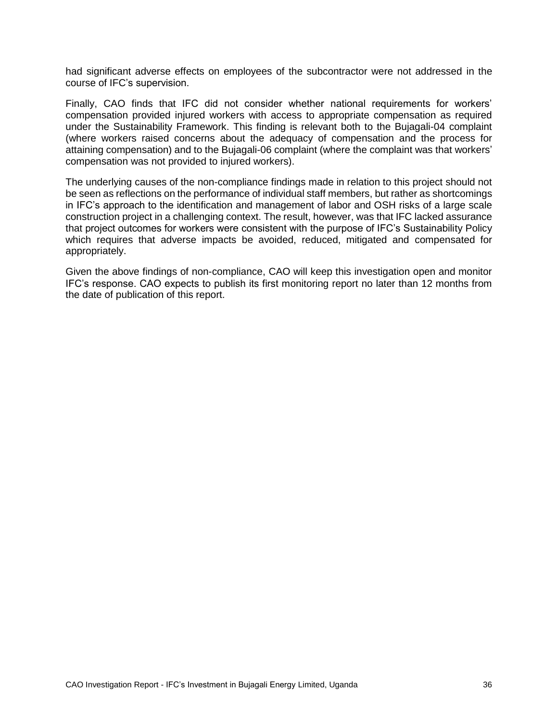had significant adverse effects on employees of the subcontractor were not addressed in the course of IFC's supervision.

Finally, CAO finds that IFC did not consider whether national requirements for workers' compensation provided injured workers with access to appropriate compensation as required under the Sustainability Framework. This finding is relevant both to the Bujagali-04 complaint (where workers raised concerns about the adequacy of compensation and the process for attaining compensation) and to the Bujagali-06 complaint (where the complaint was that workers' compensation was not provided to injured workers).

The underlying causes of the non-compliance findings made in relation to this project should not be seen as reflections on the performance of individual staff members, but rather as shortcomings in IFC's approach to the identification and management of labor and OSH risks of a large scale construction project in a challenging context. The result, however, was that IFC lacked assurance that project outcomes for workers were consistent with the purpose of IFC's Sustainability Policy which requires that adverse impacts be avoided, reduced, mitigated and compensated for appropriately.

Given the above findings of non-compliance, CAO will keep this investigation open and monitor IFC's response. CAO expects to publish its first monitoring report no later than 12 months from the date of publication of this report.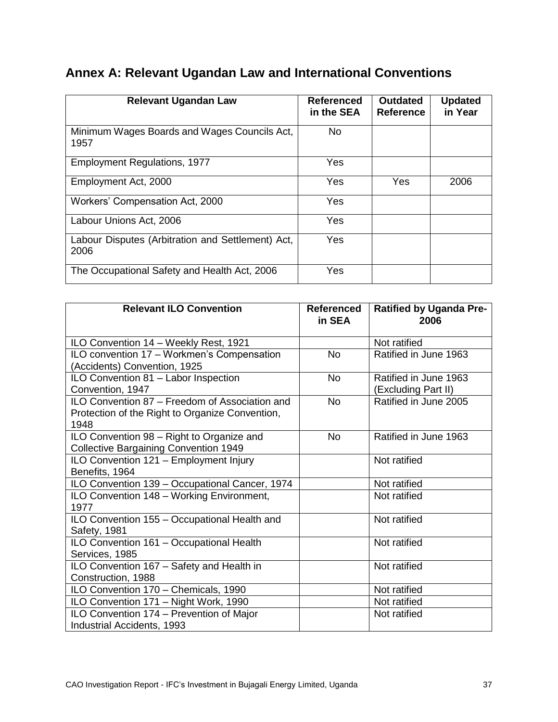# <span id="page-36-0"></span>**Annex A: Relevant Ugandan Law and International Conventions**

| <b>Relevant Ugandan Law</b>                               | Referenced<br>in the SEA | <b>Outdated</b><br><b>Reference</b> | <b>Updated</b><br>in Year |
|-----------------------------------------------------------|--------------------------|-------------------------------------|---------------------------|
| Minimum Wages Boards and Wages Councils Act,<br>1957      | <b>No</b>                |                                     |                           |
| <b>Employment Regulations, 1977</b>                       | Yes                      |                                     |                           |
| Employment Act, 2000                                      | Yes                      | Yes                                 | 2006                      |
| Workers' Compensation Act, 2000                           | Yes                      |                                     |                           |
| Labour Unions Act, 2006                                   | Yes                      |                                     |                           |
| Labour Disputes (Arbitration and Settlement) Act,<br>2006 | Yes                      |                                     |                           |
| The Occupational Safety and Health Act, 2006              | Yes                      |                                     |                           |

| <b>Relevant ILO Convention</b>                  | <b>Referenced</b><br>in SEA | <b>Ratified by Uganda Pre-</b><br>2006 |
|-------------------------------------------------|-----------------------------|----------------------------------------|
| ILO Convention 14 - Weekly Rest, 1921           |                             | Not ratified                           |
| ILO convention 17 - Workmen's Compensation      | <b>No</b>                   | Ratified in June 1963                  |
| (Accidents) Convention, 1925                    |                             |                                        |
| ILO Convention 81 - Labor Inspection            | <b>No</b>                   | Ratified in June 1963                  |
| Convention, 1947                                |                             | (Excluding Part II)                    |
| ILO Convention 87 - Freedom of Association and  | <b>No</b>                   | Ratified in June 2005                  |
| Protection of the Right to Organize Convention, |                             |                                        |
| 1948                                            |                             |                                        |
| ILO Convention 98 - Right to Organize and       | <b>No</b>                   | Ratified in June 1963                  |
| <b>Collective Bargaining Convention 1949</b>    |                             |                                        |
| ILO Convention 121 - Employment Injury          |                             | Not ratified                           |
| Benefits, 1964                                  |                             |                                        |
| ILO Convention 139 - Occupational Cancer, 1974  |                             | Not ratified                           |
| ILO Convention 148 - Working Environment,       |                             | Not ratified                           |
| 1977                                            |                             |                                        |
| ILO Convention 155 - Occupational Health and    |                             | Not ratified                           |
| Safety, 1981                                    |                             |                                        |
| ILO Convention 161 - Occupational Health        |                             | Not ratified                           |
| Services, 1985                                  |                             |                                        |
| ILO Convention 167 - Safety and Health in       |                             | Not ratified                           |
| Construction, 1988                              |                             |                                        |
| ILO Convention 170 - Chemicals, 1990            |                             | Not ratified                           |
| ILO Convention 171 - Night Work, 1990           |                             | Not ratified                           |
| ILO Convention 174 - Prevention of Major        |                             | Not ratified                           |
| Industrial Accidents, 1993                      |                             |                                        |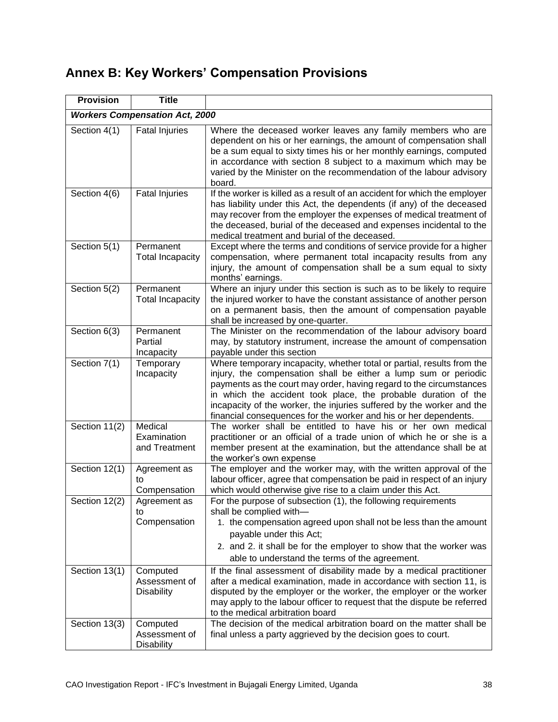# <span id="page-37-0"></span>**Annex B: Key Workers' Compensation Provisions**

| <b>Provision</b>                      | <b>Title</b>                                   |                                                                                                                                                                                                                                                                                                                                                                                                                                 |  |
|---------------------------------------|------------------------------------------------|---------------------------------------------------------------------------------------------------------------------------------------------------------------------------------------------------------------------------------------------------------------------------------------------------------------------------------------------------------------------------------------------------------------------------------|--|
| <b>Workers Compensation Act, 2000</b> |                                                |                                                                                                                                                                                                                                                                                                                                                                                                                                 |  |
| Section 4(1)                          | <b>Fatal Injuries</b>                          | Where the deceased worker leaves any family members who are<br>dependent on his or her earnings, the amount of compensation shall<br>be a sum equal to sixty times his or her monthly earnings, computed<br>in accordance with section 8 subject to a maximum which may be<br>varied by the Minister on the recommendation of the labour advisory<br>board.                                                                     |  |
| Section 4(6)                          | <b>Fatal Injuries</b>                          | If the worker is killed as a result of an accident for which the employer<br>has liability under this Act, the dependents (if any) of the deceased<br>may recover from the employer the expenses of medical treatment of<br>the deceased, burial of the deceased and expenses incidental to the<br>medical treatment and burial of the deceased.                                                                                |  |
| Section 5(1)                          | Permanent<br><b>Total Incapacity</b>           | Except where the terms and conditions of service provide for a higher<br>compensation, where permanent total incapacity results from any<br>injury, the amount of compensation shall be a sum equal to sixty<br>months' earnings.                                                                                                                                                                                               |  |
| Section 5(2)                          | Permanent<br><b>Total Incapacity</b>           | Where an injury under this section is such as to be likely to require<br>the injured worker to have the constant assistance of another person<br>on a permanent basis, then the amount of compensation payable<br>shall be increased by one-quarter.                                                                                                                                                                            |  |
| Section 6(3)                          | Permanent<br>Partial<br>Incapacity             | The Minister on the recommendation of the labour advisory board<br>may, by statutory instrument, increase the amount of compensation<br>payable under this section                                                                                                                                                                                                                                                              |  |
| Section 7(1)                          | Temporary<br>Incapacity                        | Where temporary incapacity, whether total or partial, results from the<br>injury, the compensation shall be either a lump sum or periodic<br>payments as the court may order, having regard to the circumstances<br>in which the accident took place, the probable duration of the<br>incapacity of the worker, the injuries suffered by the worker and the<br>financial consequences for the worker and his or her dependents. |  |
| Section 11(2)                         | Medical<br>Examination<br>and Treatment        | The worker shall be entitled to have his or her own medical<br>practitioner or an official of a trade union of which he or she is a<br>member present at the examination, but the attendance shall be at<br>the worker's own expense                                                                                                                                                                                            |  |
| Section 12(1)                         | Agreement as<br>to<br>Compensation             | The employer and the worker may, with the written approval of the<br>labour officer, agree that compensation be paid in respect of an injury<br>which would otherwise give rise to a claim under this Act.                                                                                                                                                                                                                      |  |
| Section 12(2)                         | Agreement as<br>to<br>Compensation             | For the purpose of subsection (1), the following requirements<br>shall be complied with-<br>1. the compensation agreed upon shall not be less than the amount<br>payable under this Act;<br>2. and 2. it shall be for the employer to show that the worker was<br>able to understand the terms of the agreement.                                                                                                                |  |
| Section 13(1)                         | Computed<br>Assessment of<br><b>Disability</b> | If the final assessment of disability made by a medical practitioner<br>after a medical examination, made in accordance with section 11, is<br>disputed by the employer or the worker, the employer or the worker<br>may apply to the labour officer to request that the dispute be referred<br>to the medical arbitration board                                                                                                |  |
| Section 13(3)                         | Computed<br>Assessment of<br><b>Disability</b> | The decision of the medical arbitration board on the matter shall be<br>final unless a party aggrieved by the decision goes to court.                                                                                                                                                                                                                                                                                           |  |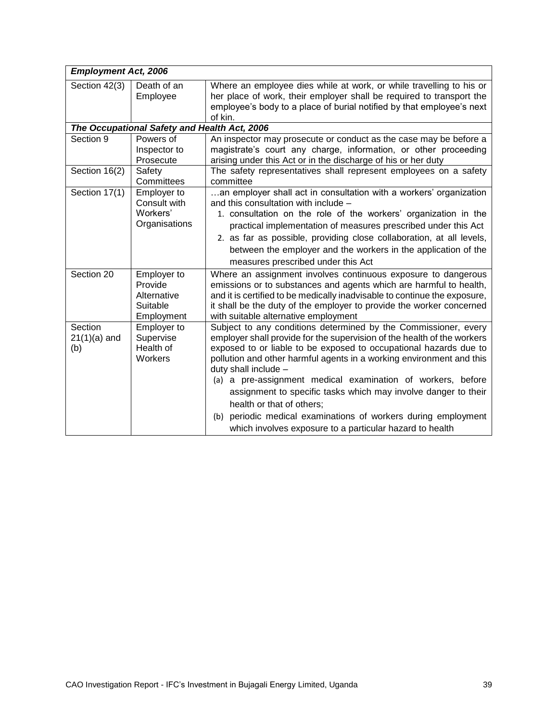| <b>Employment Act, 2006</b>                  |                                                                 |                                                                                                                                                                                                                                                                                                                                                                                                                                                                                                                                                                                                                |  |
|----------------------------------------------|-----------------------------------------------------------------|----------------------------------------------------------------------------------------------------------------------------------------------------------------------------------------------------------------------------------------------------------------------------------------------------------------------------------------------------------------------------------------------------------------------------------------------------------------------------------------------------------------------------------------------------------------------------------------------------------------|--|
| Section 42(3)                                | Death of an<br>Employee                                         | Where an employee dies while at work, or while travelling to his or<br>her place of work, their employer shall be required to transport the<br>employee's body to a place of burial notified by that employee's next<br>of kin.                                                                                                                                                                                                                                                                                                                                                                                |  |
| The Occupational Safety and Health Act, 2006 |                                                                 |                                                                                                                                                                                                                                                                                                                                                                                                                                                                                                                                                                                                                |  |
| Section 9                                    | Powers of<br>Inspector to<br>Prosecute                          | An inspector may prosecute or conduct as the case may be before a<br>magistrate's court any charge, information, or other proceeding<br>arising under this Act or in the discharge of his or her duty                                                                                                                                                                                                                                                                                                                                                                                                          |  |
| Section 16(2)                                | Safety<br>Committees                                            | The safety representatives shall represent employees on a safety<br>committee                                                                                                                                                                                                                                                                                                                                                                                                                                                                                                                                  |  |
| Section 17(1)                                | Employer to<br>Consult with<br>Workers'<br>Organisations        | an employer shall act in consultation with a workers' organization<br>and this consultation with include -<br>1. consultation on the role of the workers' organization in the<br>practical implementation of measures prescribed under this Act<br>2. as far as possible, providing close collaboration, at all levels,<br>between the employer and the workers in the application of the<br>measures prescribed under this Act                                                                                                                                                                                |  |
| Section 20                                   | Employer to<br>Provide<br>Alternative<br>Suitable<br>Employment | Where an assignment involves continuous exposure to dangerous<br>emissions or to substances and agents which are harmful to health,<br>and it is certified to be medically inadvisable to continue the exposure,<br>it shall be the duty of the employer to provide the worker concerned<br>with suitable alternative employment                                                                                                                                                                                                                                                                               |  |
| Section<br>$21(1)(a)$ and<br>(b)             | Employer to<br>Supervise<br>Health of<br>Workers                | Subject to any conditions determined by the Commissioner, every<br>employer shall provide for the supervision of the health of the workers<br>exposed to or liable to be exposed to occupational hazards due to<br>pollution and other harmful agents in a working environment and this<br>duty shall include -<br>(a) a pre-assignment medical examination of workers, before<br>assignment to specific tasks which may involve danger to their<br>health or that of others;<br>periodic medical examinations of workers during employment<br>(b)<br>which involves exposure to a particular hazard to health |  |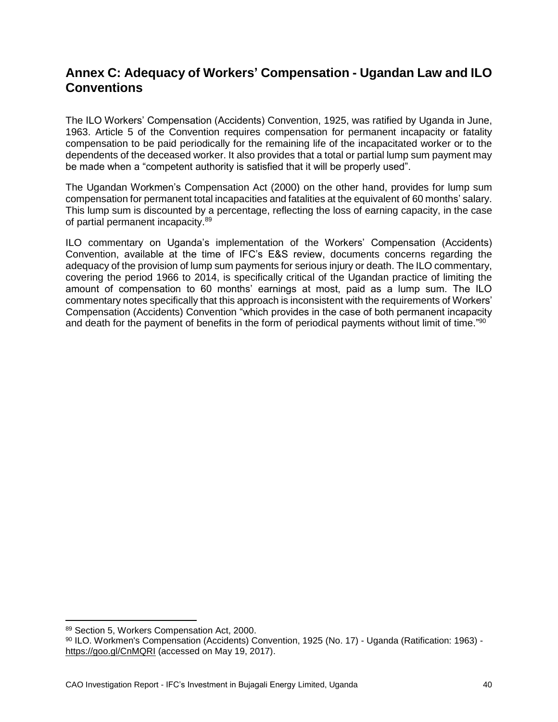### <span id="page-39-0"></span>**Annex C: Adequacy of Workers' Compensation - Ugandan Law and ILO Conventions**

The ILO Workers' Compensation (Accidents) Convention, 1925, was ratified by Uganda in June, 1963. Article 5 of the Convention requires compensation for permanent incapacity or fatality compensation to be paid periodically for the remaining life of the incapacitated worker or to the dependents of the deceased worker. It also provides that a total or partial lump sum payment may be made when a "competent authority is satisfied that it will be properly used".

The Ugandan Workmen's Compensation Act (2000) on the other hand, provides for lump sum compensation for permanent total incapacities and fatalities at the equivalent of 60 months' salary. This lump sum is discounted by a percentage, reflecting the loss of earning capacity, in the case of partial permanent incapacity.<sup>89</sup>

ILO commentary on Uganda's implementation of the Workers' Compensation (Accidents) Convention, available at the time of IFC's E&S review, documents concerns regarding the adequacy of the provision of lump sum payments for serious injury or death. The ILO commentary, covering the period 1966 to 2014, is specifically critical of the Ugandan practice of limiting the amount of compensation to 60 months' earnings at most, paid as a lump sum. The ILO commentary notes specifically that this approach is inconsistent with the requirements of Workers' Compensation (Accidents) Convention "which provides in the case of both permanent incapacity and death for the payment of benefits in the form of periodical payments without limit of time."<sup>90</sup>

<sup>89</sup> Section 5, Workers Compensation Act, 2000.

<sup>90</sup> ILO. Workmen's Compensation (Accidents) Convention, 1925 (No. 17) - Uganda (Ratification: 1963) <https://goo.gl/CnMQRI> (accessed on May 19, 2017).